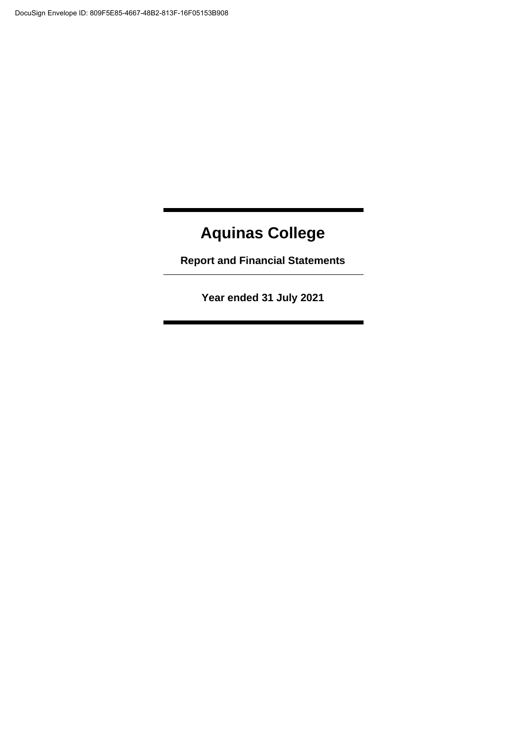# **Aquinas College**

**Report and Financial Statements** 

**Year ended 31 July 2021**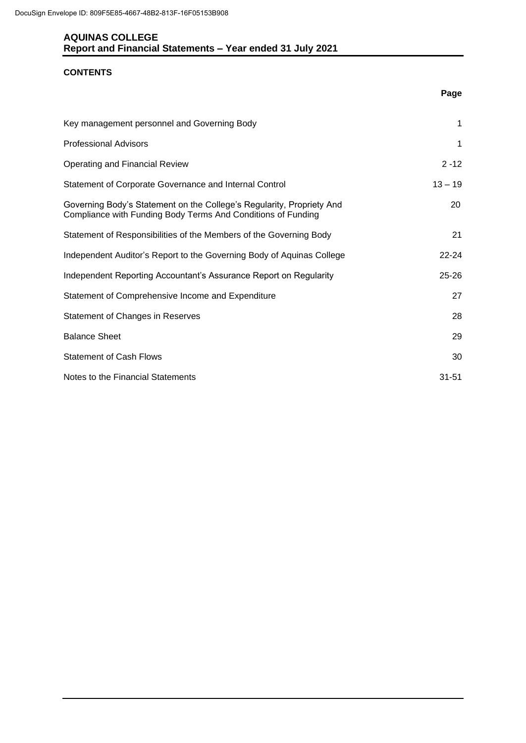## **CONTENTS**

|                                                                                                                                       | Page      |
|---------------------------------------------------------------------------------------------------------------------------------------|-----------|
| Key management personnel and Governing Body                                                                                           | 1         |
| <b>Professional Advisors</b>                                                                                                          | 1         |
| Operating and Financial Review                                                                                                        | $2 - 12$  |
| Statement of Corporate Governance and Internal Control                                                                                | $13 - 19$ |
| Governing Body's Statement on the College's Regularity, Propriety And<br>Compliance with Funding Body Terms And Conditions of Funding | 20        |
| Statement of Responsibilities of the Members of the Governing Body                                                                    | 21        |
| Independent Auditor's Report to the Governing Body of Aquinas College                                                                 | $22 - 24$ |
| Independent Reporting Accountant's Assurance Report on Regularity                                                                     | $25 - 26$ |
| Statement of Comprehensive Income and Expenditure                                                                                     | 27        |
| <b>Statement of Changes in Reserves</b>                                                                                               | 28        |
| <b>Balance Sheet</b>                                                                                                                  | 29        |
| <b>Statement of Cash Flows</b>                                                                                                        | 30        |
| Notes to the Financial Statements                                                                                                     | $31 - 51$ |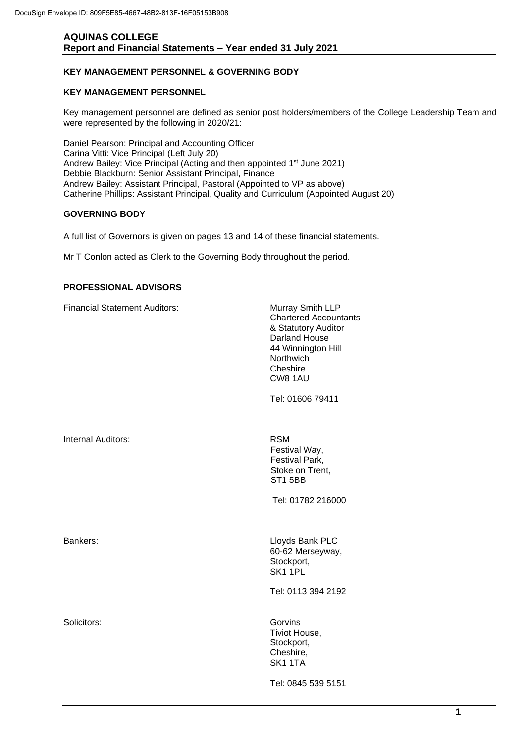## **KEY MANAGEMENT PERSONNEL & GOVERNING BODY**

## **KEY MANAGEMENT PERSONNEL**

 Key management personnel are defined as senior post holders/members of the College Leadership Team and were represented by the following in 2020/21:

Daniel Pearson: Principal and Accounting Officer Carina Vitti: Vice Principal (Left July 20) Andrew Bailey: Vice Principal (Acting and then appointed 1st June 2021) Debbie Blackburn: Senior Assistant Principal, Finance Andrew Bailey: Assistant Principal, Pastoral (Appointed to VP as above) Catherine Phillips: Assistant Principal, Quality and Curriculum (Appointed August 20)

### **GOVERNING BODY**

A full list of Governors is given on pages 13 and 14 of these financial statements.

Mr T Conlon acted as Clerk to the Governing Body throughout the period.

#### **PROFESSIONAL ADVISORS**

| <b>Financial Statement Auditors:</b> | Murray Smith LLP<br><b>Chartered Accountants</b><br>& Statutory Auditor<br>Darland House<br>44 Winnington Hill<br>Northwich<br>Cheshire<br>CW8 1AU<br>Tel: 01606 79411 |
|--------------------------------------|------------------------------------------------------------------------------------------------------------------------------------------------------------------------|
| <b>Internal Auditors:</b>            | <b>RSM</b><br>Festival Way,<br>Festival Park,<br>Stoke on Trent,<br><b>ST1 5BB</b>                                                                                     |
|                                      | Tel: 01782 216000                                                                                                                                                      |
| Bankers:                             | Lloyds Bank PLC<br>60-62 Merseyway,<br>Stockport,<br>SK1 1PL                                                                                                           |
|                                      | Tel: 0113 394 2192                                                                                                                                                     |
| Solicitors:                          | Gorvins<br>Tiviot House,<br>Stockport,<br>Cheshire,<br>SK11TA                                                                                                          |
|                                      | Tel: 0845 539 5151                                                                                                                                                     |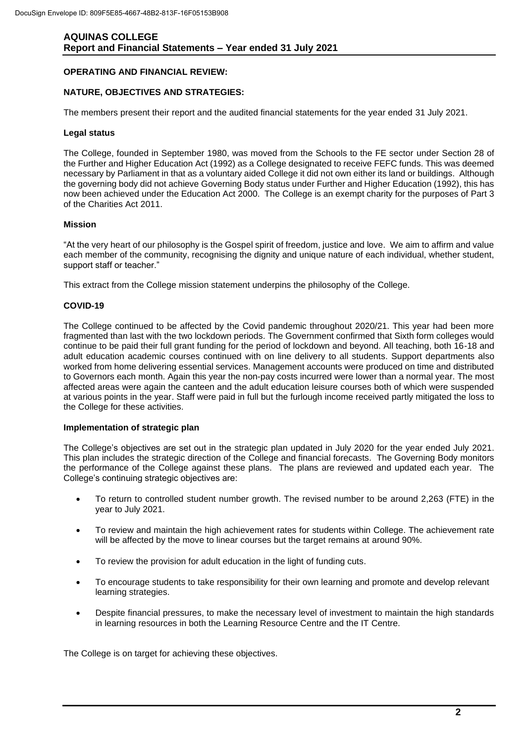# **Report and Financial Statements – Year ended 31 July 2021**

## **OPERATING AND FINANCIAL REVIEW:**

## **NATURE, OBJECTIVES AND STRATEGIES:**

The members present their report and the audited financial statements for the year ended 31 July 2021.

#### **Legal status**

 The College, founded in September 1980, was moved from the Schools to the FE sector under Section 28 of the Further and Higher Education Act (1992) as a College designated to receive FEFC funds. This was deemed necessary by Parliament in that as a voluntary aided College it did not own either its land or buildings. Although the governing body did not achieve Governing Body status under Further and Higher Education (1992), this has now been achieved under the Education Act 2000. The College is an exempt charity for the purposes of Part 3 of the Charities Act 2011.

#### **Mission**

 "At the very heart of our philosophy is the Gospel spirit of freedom, justice and love. We aim to affirm and value each member of the community, recognising the dignity and unique nature of each individual, whether student, support staff or teacher."

This extract from the College mission statement underpins the philosophy of the College.

### **COVID-19**

 The College continued to be affected by the Covid pandemic throughout 2020/21. This year had been more continue to be paid their full grant funding for the period of lockdown and beyond. All teaching, both 16-18 and adult education academic courses continued with on line delivery to all students. Support departments also worked from home delivering essential services. Management accounts were produced on time and distributed to Governors each month. Again this year the non-pay costs incurred were lower than a normal year. The most affected areas were again the canteen and the adult education leisure courses both of which were suspended at various points in the year. Staff were paid in full but the furlough income received partly mitigated the loss to **AQUINAS COLLEGE**<br> **Report and Financial**<br> **OPERATING AND FINA**<br> **NATURE, OBJECTIVES**<br>
The members present the<br>
Legal status<br>
The College, founded in<br>
the Further and Higher Einecessary by Parliament<br>
the governing body di fragmented than last with the two lockdown periods. The Government confirmed that Sixth form colleges would the College for these activities.

#### **Implementation of strategic plan**

 The College's objectives are set out in the strategic plan updated in July 2020 for the year ended July 2021. This plan includes the strategic direction of the College and financial forecasts. The Governing Body monitors the performance of the College against these plans. The plans are reviewed and updated each year. The College's continuing strategic objectives are:

- • To return to controlled student number growth. The revised number to be around 2,263 (FTE) in the year to July 2021.
- • To review and maintain the high achievement rates for students within College. The achievement rate will be affected by the move to linear courses but the target remains at around 90%.
- To review the provision for adult education in the light of funding cuts.
- To encourage students to take responsibility for their own learning and promote and develop relevant learning strategies.
- • Despite financial pressures, to make the necessary level of investment to maintain the high standards in learning resources in both the Learning Resource Centre and the IT Centre.

The College is on target for achieving these objectives.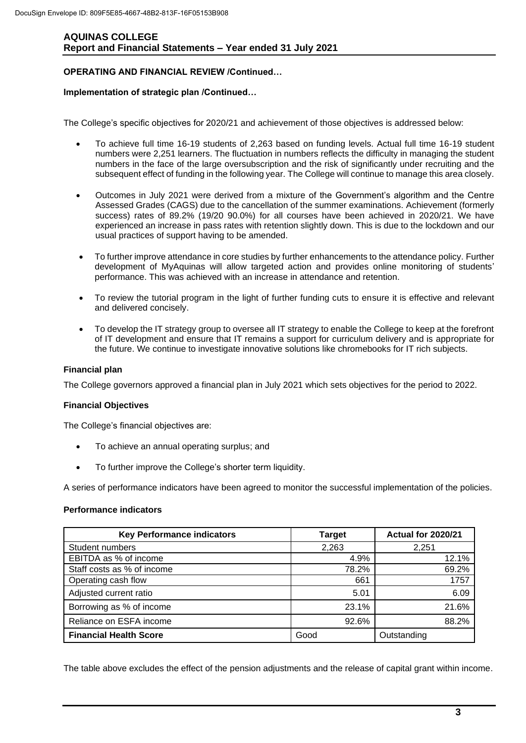## **OPERATING AND FINANCIAL REVIEW /Continued…**

#### **Implementation of strategic plan /Continued…**

The College's specific objectives for 2020/21 and achievement of those objectives is addressed below:

- • To achieve full time 16-19 students of 2,263 based on funding levels. Actual full time 16-19 student numbers were 2,251 learners. The fluctuation in numbers reflects the difficulty in managing the student numbers in the face of the large oversubscription and the risk of significantly under recruiting and the subsequent effect of funding in the following year. The College will continue to manage this area closely.
- Outcomes in July 2021 were derived from a mixture of the Government's algorithm and the Centre Assessed Grades (CAGS) due to the cancellation of the summer examinations. Achievement (formerly success) rates of 89.2% (19/20 90.0%) for all courses have been achieved in 2020/21. We have experienced an increase in pass rates with retention slightly down. This is due to the lockdown and our usual practices of support having to be amended.
- • To further improve attendance in core studies by further enhancements to the attendance policy. Further development of MyAquinas will allow targeted action and provides online monitoring of students' performance. This was achieved with an increase in attendance and retention.
- • To review the tutorial program in the light of further funding cuts to ensure it is effective and relevant and delivered concisely.
- • To develop the IT strategy group to oversee all IT strategy to enable the College to keep at the forefront of IT development and ensure that IT remains a support for curriculum delivery and is appropriate for the future. We continue to investigate innovative solutions like chromebooks for IT rich subjects.

#### **Financial plan**

The College governors approved a financial plan in July 2021 which sets objectives for the period to 2022.

#### **Financial Objectives**

The College's financial objectives are:

- To achieve an annual operating surplus; and
- To further improve the College's shorter term liquidity.

A series of performance indicators have been agreed to monitor the successful implementation of the policies.

#### **Performance indicators**

| <b>Key Performance indicators</b> | Target | Actual for 2020/21 |
|-----------------------------------|--------|--------------------|
| Student numbers                   | 2,263  | 2,251              |
| EBITDA as % of income             | 4.9%   | 12.1%              |
| Staff costs as % of income        | 78.2%  | 69.2%              |
| Operating cash flow               | 661    | 1757               |
| Adjusted current ratio            | 5.01   | 6.09               |
| Borrowing as % of income          | 23.1%  | 21.6%              |
| Reliance on ESFA income           | 92.6%  | 88.2%              |
| <b>Financial Health Score</b>     | Good   | Outstanding        |

The table above excludes the effect of the pension adjustments and the release of capital grant within income.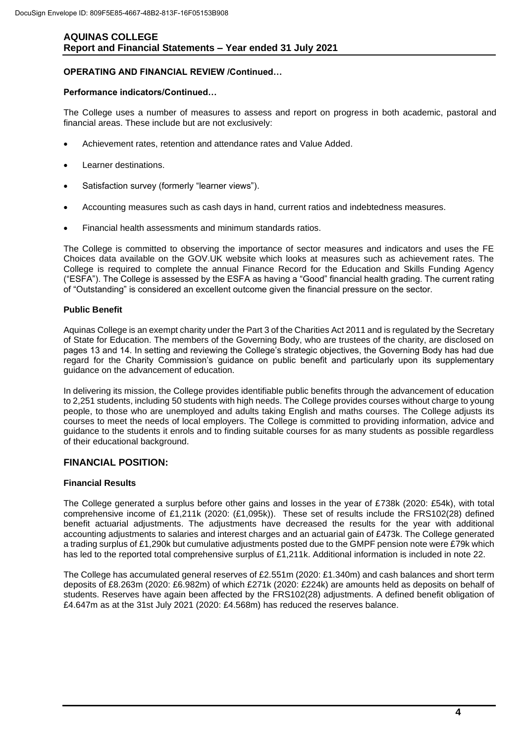# **Report and Financial Statements – Year ended 31 July 2021**

## **OPERATING AND FINANCIAL REVIEW /Continued…**

#### **Performance indicators/Continued…**

 The College uses a number of measures to assess and report on progress in both academic, pastoral and financial areas. These include but are not exclusively:

- Achievement rates, retention and attendance rates and Value Added.
- Learner destinations.
- Satisfaction survey (formerly "learner views").
- Accounting measures such as cash days in hand, current ratios and indebtedness measures.
- Financial health assessments and minimum standards ratios.

 The College is committed to observing the importance of sector measures and indicators and uses the FE Choices data available on the GOV.UK website which looks at measures such as achievement rates. The College is required to complete the annual Finance Record for the Education and Skills Funding Agency ("ESFA"). The College is assessed by the ESFA as having a "Good" financial health grading. The current rating **AQUINAS COLLEGE**<br> **Report and Financial Statements – Year ender<br>
OPERATING AND FINANCIAL REVIEW /Continued<br>
Performance indicators/Continued...<br>
The College uses a number of measures to assess<br>
financial areas. These incl** of "Outstanding" is considered an excellent outcome given the financial pressure on the sector.

#### **Public Benefit**

 Aquinas College is an exempt charity under the Part 3 of the Charities Act 2011 and is regulated by the Secretary pages 13 and 14. In setting and reviewing the College's strategic objectives, the Governing Body has had due regard for the Charity Commission's guidance on public benefit and particularly upon its supplementary A"). The<br>tstanding<br>**: Benefi**f<br>as Colleg<br>te for Ed<br>13 and of State for Education. The members of the Governing Body, who are trustees of the charity, are disclosed on guidance on the advancement of education.

 In delivering its mission, the College provides identifiable public benefits through the advancement of education to 2,251 students, including 50 students with high needs. The College provides courses without charge to young people, to those who are unemployed and adults taking English and maths courses. The College adjusts its courses to meet the needs of local employers. The College is committed to providing information, advice and guidance to the students it enrols and to finding suitable courses for as many students as possible regardless of their educational background.

## **FINANCIAL POSITION:**

#### **Financial Results**

 The College generated a surplus before other gains and losses in the year of £738k (2020: £54k), with total benefit actuarial adjustments. The adjustments have decreased the results for the year with additional accounting adjustments to salaries and interest charges and an actuarial gain of £473k. The College generated a trading surplus of £1,290k but cumulative adjustments posted due to the GMPF pension note were £79k which comprehensive income of £1,211k (2020: (£1,095k)). These set of results include the FRS102(28) defined has led to the reported total comprehensive surplus of £1,211k. Additional information is included in note 22.

 students. Reserves have again been affected by the FRS102(28) adjustments. A defined benefit obligation of The College has accumulated general reserves of £2.551m (2020: £1.340m) and cash balances and short term deposits of £8.263m (2020: £6.982m) of which £271k (2020: £224k) are amounts held as deposits on behalf of £4.647m as at the 31st July 2021 (2020: £4.568m) has reduced the reserves balance.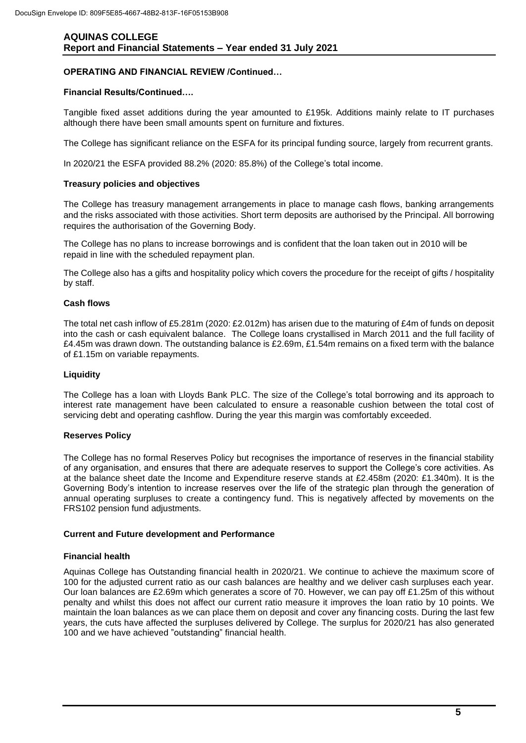# **Report and Financial Statements – Year ended 31 July 2021**

## **OPERATING AND FINANCIAL REVIEW /Continued…**

## **Financial Results/Continued….**

 Tangible fixed asset additions during the year amounted to £195k. Additions mainly relate to IT purchases although there have been small amounts spent on furniture and fixtures.

The College has significant reliance on the ESFA for its principal funding source, largely from recurrent grants.

In 2020/21 the ESFA provided 88.2% (2020: 85.8%) of the College's total income.

#### **Treasury policies and objectives**

 The College has treasury management arrangements in place to manage cash flows, banking arrangements and the risks associated with those activities. Short term deposits are authorised by the Principal. All borrowing requires the authorisation of the Governing Body.

 The College has no plans to increase borrowings and is confident that the loan taken out in 2010 will be repaid in line with the scheduled repayment plan.

 The College also has a gifts and hospitality policy which covers the procedure for the receipt of gifts / hospitality by staff.

#### **Cash flows**

 The total net cash inflow of £5.281m (2020: £2.012m) has arisen due to the maturing of £4m of funds on deposit into the cash or cash equivalent balance. The College loans crystallised in March 2011 and the full facility of £4.45m was drawn down. The outstanding balance is £2.69m, £1.54m remains on a fixed term with the balance of £1.15m on variable repayments.

### **Liquidity**

 The College has a loan with Lloyds Bank PLC. The size of the College's total borrowing and its approach to interest rate management have been calculated to ensure a reasonable cushion between the total cost of  servicing debt and operating cashflow. During the year this margin was comfortably exceeded.

#### **Reserves Policy**

 The College has no formal Reserves Policy but recognises the importance of reserves in the financial stability of any organisation, and ensures that there are adequate reserves to support the College's core activities. As at the balance sheet date the Income and Expenditure reserve stands at £2.458m (2020: £1.340m). It is the Governing Body's intention to increase reserves over the life of the strategic plan through the generation of annual operating surpluses to create a contingency fund. This is negatively affected by movements on the **AQUINAS COLLEGE**<br> **Report and Financial Statem**<br> **OPERATING AND FINANCIAL R**<br> **Financial Results/Continued....**<br>
Tangible fixed asset additions dualthough there have been small a<br>
The College has significant relian<br>
In 20 FRS102 pension fund adjustments.

#### **Current and Future development and Performance**

#### **Financial health**

 Aquinas College has Outstanding financial health in 2020/21. We continue to achieve the maximum score of 100 for the adjusted current ratio as our cash balances are healthy and we deliver cash surpluses each year. Our loan balances are £2.69m which generates a score of 70. However, we can pay off £1.25m of this without penalty and whilst this does not affect our current ratio measure it improves the loan ratio by 10 points. We maintain the loan balances as we can place them on deposit and cover any financing costs. During the last few years, the cuts have affected the surpluses delivered by College. The surplus for 2020/21 has also generated 100 and we have achieved "outstanding" financial health.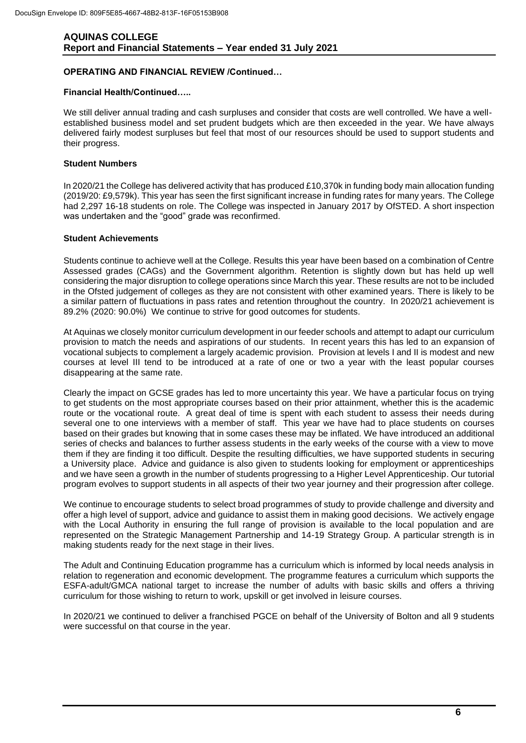## **OPERATING AND FINANCIAL REVIEW /Continued…**

## **Financial Health/Continued…..**

 established business model and set prudent budgets which are then exceeded in the year. We have always delivered fairly modest surpluses but feel that most of our resources should be used to support students and We still deliver annual trading and cash surpluses and consider that costs are well controlled. We have a welltheir progress.

#### **Student Numbers**

 In 2020/21 the College has delivered activity that has produced £10,370k in funding body main allocation funding (2019/20: £9,579k). This year has seen the first significant increase in funding rates for many years. The College had 2,297 16-18 students on role. The College was inspected in January 2017 by OfSTED. A short inspection was undertaken and the "good" grade was reconfirmed.

## **Student Achievements**

 Students continue to achieve well at the College. Results this year have been based on a combination of Centre Assessed grades (CAGs) and the Government algorithm. Retention is slightly down but has held up well considering the major disruption to college operations since March this year. These results are not to be included in the Ofsted judgement of colleges as they are not consistent with other examined years. There is likely to be a similar pattern of fluctuations in pass rates and retention throughout the country. In 2020/21 achievement is 89.2% (2020: 90.0%) We continue to strive for good outcomes for students.

 At Aquinas we closely monitor curriculum development in our feeder schools and attempt to adapt our curriculum provision to match the needs and aspirations of our students. In recent years this has led to an expansion of vocational subjects to complement a largely academic provision. Provision at levels I and II is modest and new courses at level III tend to be introduced at a rate of one or two a year with the least popular courses disappearing at the same rate.

disappearing at the same rate.<br>Clearly the impact on GCSE grades has led to more uncertainty this year. We have a particular focus on trying to get students on the most appropriate courses based on their prior attainment, whether this is the academic route or the vocational route. A great deal of time is spent with each student to assess their needs during several one to one interviews with a member of staff. This year we have had to place students on courses based on their grades but knowing that in some cases these may be inflated. We have introduced an additional series of checks and balances to further assess students in the early weeks of the course with a view to move them if they are finding it too difficult. Despite the resulting difficulties, we have supported students in securing a University place. Advice and guidance is also given to students looking for employment or apprenticeships and we have seen a growth in the number of students progressing to a Higher Level Apprenticeship. Our tutorial program evolves to support students in all aspects of their two year journey and their progression after college.

 We continue to encourage students to select broad programmes of study to provide challenge and diversity and offer a high level of support, advice and guidance to assist them in making good decisions. We actively engage with the Local Authority in ensuring the full range of provision is available to the local population and are represented on the Strategic Management Partnership and 14-19 Strategy Group. A particular strength is in making students ready for the next stage in their lives.

 The Adult and Continuing Education programme has a curriculum which is informed by local needs analysis in relation to regeneration and economic development. The programme features a curriculum which supports the ESFA-adult/GMCA national target to increase the number of adults with basic skills and offers a thriving curriculum for those wishing to return to work, upskill or get involved in leisure courses.

 In 2020/21 we continued to deliver a franchised PGCE on behalf of the University of Bolton and all 9 students were successful on that course in the year.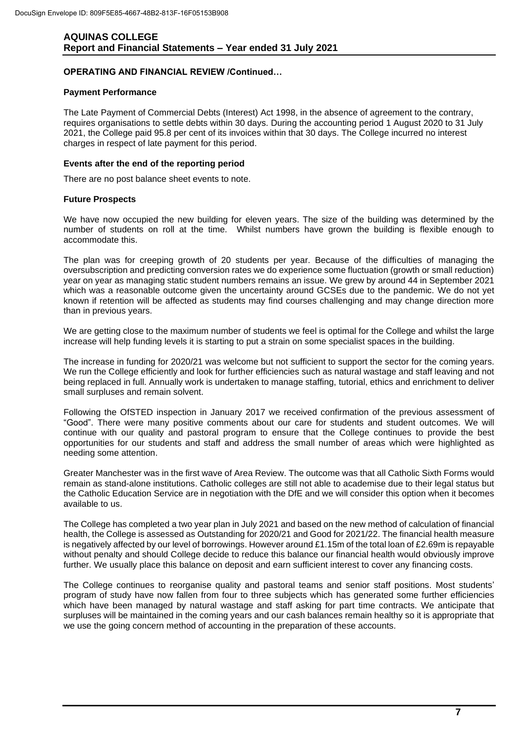## **OPERATING AND FINANCIAL REVIEW /Continued…**

#### **Payment Performance**

The Late Payment of Commercial Debts (Interest) Act 1998, in the absence of agreement to the contrary, requires organisations to settle debts within 30 days. During the accounting period 1 August 2020 to 31 July 2021, the College paid 95.8 per cent of its invoices within that 30 days. The College incurred no interest charges in respect of late payment for this period.

#### **Events after the end of the reporting period**

There are no post balance sheet events to note.

#### **Future Prospects**

 We have now occupied the new building for eleven years. The size of the building was determined by the number of students on roll at the time. Whilst numbers have grown the building is flexible enough to accommodate this.

 The plan was for creeping growth of 20 students per year. Because of the difficulties of managing the oversubscription and predicting conversion rates we do experience some fluctuation (growth or small reduction) year on year as managing static student numbers remains an issue. We grew by around 44 in September 2021 which was a reasonable outcome given the uncertainty around GCSEs due to the pandemic. We do not yet known if retention will be affected as students may find courses challenging and may change direction more than in previous years.

 We are getting close to the maximum number of students we feel is optimal for the College and whilst the large increase will help funding levels it is starting to put a strain on some specialist spaces in the building.

 The increase in funding for 2020/21 was welcome but not sufficient to support the sector for the coming years. We run the College efficiently and look for further efficiencies such as natural wastage and staff leaving and not being replaced in full. Annually work is undertaken to manage staffing, tutorial, ethics and enrichment to deliver small surpluses and remain solvent.

 Following the OfSTED inspection in January 2017 we received confirmation of the previous assessment of "Good". There were many positive comments about our care for students and student outcomes. We will opportunities for our students and staff and address the small number of areas which were highlighted as continue with our quality and pastoral program to ensure that the College continues to provide the best needing some attention.

 Greater Manchester was in the first wave of Area Review. The outcome was that all Catholic Sixth Forms would the Catholic Education Service are in negotiation with the DfE and we will consider this option when it becomes remain as stand-alone institutions. Catholic colleges are still not able to academise due to their legal status but available to us.

 The College has completed a two year plan in July 2021 and based on the new method of calculation of financial health, the College is assessed as Outstanding for 2020/21 and Good for 2021/22. The financial health measure is negatively affected by our level of borrowings. However around £1.15m of the total loan of £2.69m is repayable without penalty and should College decide to reduce this balance our financial health would obviously improve further. We usually place this balance on deposit and earn sufficient interest to cover any financing costs.

 The College continues to reorganise quality and pastoral teams and senior staff positions. Most students' program of study have now fallen from four to three subjects which has generated some further efficiencies which have been managed by natural wastage and staff asking for part time contracts. We anticipate that surpluses will be maintained in the coming years and our cash balances remain healthy so it is appropriate that we use the going concern method of accounting in the preparation of these accounts.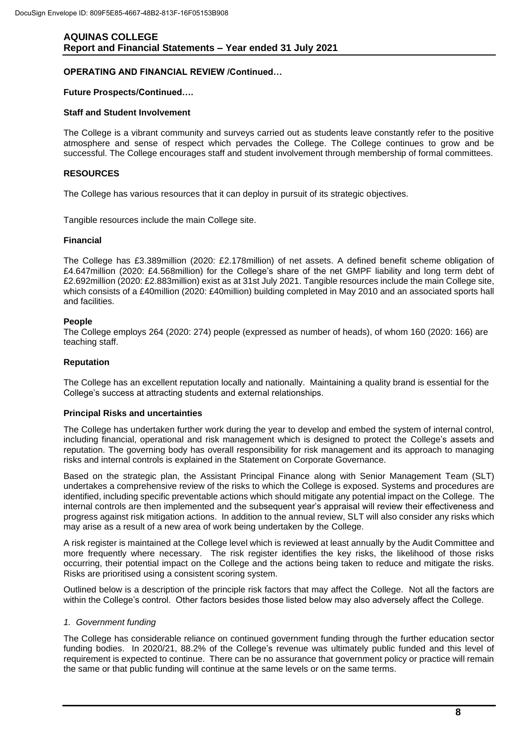## **OPERATING AND FINANCIAL REVIEW /Continued…**

### **Future Prospects/Continued….**

# **Staff and Student Involvement**

 The College is a vibrant community and surveys carried out as students leave constantly refer to the positive atmosphere and sense of respect which pervades the College. The College continues to grow and be successful. The College encourages staff and student involvement through membership of formal committees.

### **RESOURCES**

The College has various resources that it can deploy in pursuit of its strategic objectives.

Tangible resources include the main College site.

#### **Financial**

 The College has £3.389million (2020: £2.178million) of net assets. A defined benefit scheme obligation of £4.647million (2020: £4.568million) for the College's share of the net GMPF liability and long term debt of which consists of a £40million (2020: £40million) building completed in May 2010 and an associated sports hall net GMPF liability and long to<br>ble resources include the main (<br>i in May 2010 and an associated<br>er of heads), of whom 160 (2020<br>htaining a quality brand is esser<br>paint in the system of inter-<br>igned to protect the College's £2.692million (2020: £2.883million) exist as at 31st July 2021. Tangible resources include the main College site, and facilities.

#### **People**

The College employs 264 (2020: 274) people (expressed as number of heads), of whom 160 (2020: 166) are teaching staff.

#### **Reputation**

 The College has an excellent reputation locally and nationally. Maintaining a quality brand is essential for the College's success at attracting students and external relationships.

#### **Principal Risks and uncertainties**

 The College has undertaken further work during the year to develop and embed the system of internal control, including financial, operational and risk management which is designed to protect the College's assets and reputation. The governing body has overall responsibility for risk management and its approach to managing risks and internal controls is explained in the Statement on Corporate Governance.

 Based on the strategic plan, the Assistant Principal Finance along with Senior Management Team (SLT) identified, including specific preventable actions which should mitigate any potential impact on the College. The internal controls are then implemented and the subsequent year's appraisal will review their effectiveness and progress against risk mitigation actions. In addition to the annual review, SLT will also consider any risks which undertakes a comprehensive review of the risks to which the College is exposed. Systems and procedures are may arise as a result of a new area of work being undertaken by the College.

 A risk register is maintained at the College level which is reviewed at least annually by the Audit Committee and more frequently where necessary. The risk register identifies the key risks, the likelihood of those risks occurring, their potential impact on the College and the actions being taken to reduce and mitigate the risks. Risks are prioritised using a consistent scoring system.

 Outlined below is a description of the principle risk factors that may affect the College. Not all the factors are within the College's control. Other factors besides those listed below may also adversely affect the College.

#### *1. Government funding*

 The College has considerable reliance on continued government funding through the further education sector funding bodies. In 2020/21, 88.2% of the College's revenue was ultimately public funded and this level of requirement is expected to continue. There can be no assurance that government policy or practice will remain the same or that public funding will continue at the same levels or on the same terms.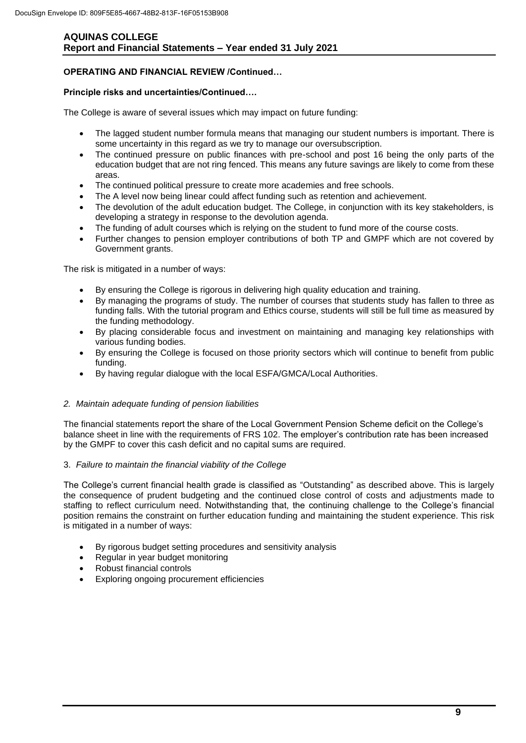# **Report and Financial Statements – Year ended 31 July 2021**

# **OPERATING AND FINANCIAL REVIEW /Continued…**

## **Principle risks and uncertainties/Continued….**

The College is aware of several issues which may impact on future funding:

- • The lagged student number formula means that managing our student numbers is important. There is some uncertainty in this regard as we try to manage our oversubscription.
- • The continued pressure on public finances with pre-school and post 16 being the only parts of the education budget that are not ring fenced. This means any future savings are likely to come from these areas.
- The continued political pressure to create more academies and free schools.
- The A level now being linear could affect funding such as retention and achievement.
- • The devolution of the adult education budget. The College, in conjunction with its key stakeholders, is developing a strategy in response to the devolution agenda.
- The funding of adult courses which is relying on the student to fund more of the course costs.
- • Further changes to pension employer contributions of both TP and GMPF which are not covered by Government grants.

The risk is mitigated in a number of ways:

- By ensuring the College is rigorous in delivering high quality education and training.
- • By managing the programs of study. The number of courses that students study has fallen to three as funding falls. With the tutorial program and Ethics course, students will still be full time as measured by the funding methodology.
- • By placing considerable focus and investment on maintaining and managing key relationships with various funding bodies.
- • By ensuring the College is focused on those priority sectors which will continue to benefit from public funding.
- By having regular dialogue with the local ESFA/GMCA/Local Authorities.

## *2. Maintain adequate funding of pension liabilities*

 by the GMPF to cover this cash deficit and no capital sums are required. **AQUINAS COLLEGE**<br> **ARUPY and Financial Statements – Year ended 31 July 2021<br>
<b>AREPOTE and FINANCIAL REVIEW /Continued...**<br>
The College is aware of several issues which may impact on future funding:<br>
The College is aware o The financial statements report the share of the Local Government Pension Scheme deficit on the College's balance sheet in line with the requirements of FRS 102. The employer's contribution rate has been increased

## 3. *Failure to maintain the financial viability of the College*

 The College's current financial health grade is classified as "Outstanding" as described above. This is largely the consequence of prudent budgeting and the continued close control of costs and adjustments made to staffing to reflect curriculum need. Notwithstanding that, the continuing challenge to the College's financial position remains the constraint on further education funding and maintaining the student experience. This risk is mitigated in a number of ways:

- By rigorous budget setting procedures and sensitivity analysis
- Regular in year budget monitoring
- Robust financial controls
- Exploring ongoing procurement efficiencies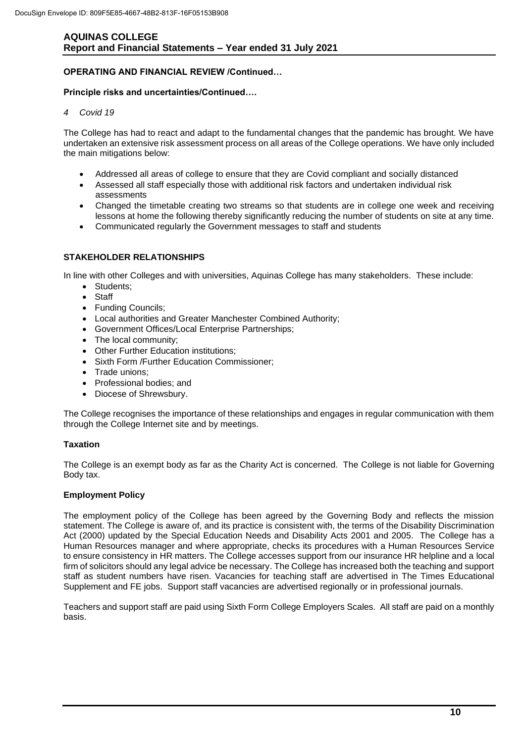## **OPERATING AND FINANCIAL REVIEW /Continued…**

### **Principle risks and uncertainties/Continued….**

#### *4 Covid 19*

 The College has had to react and adapt to the fundamental changes that the pandemic has brought. We have undertaken an extensive risk assessment process on all areas of the College operations. We have only included the main mitigations below:

- Addressed all areas of college to ensure that they are Covid compliant and socially distanced
- Assessed all staff especially those with additional risk factors and undertaken individual risk assessments
- • Changed the timetable creating two streams so that students are in college one week and receiving lessons at home the following thereby significantly reducing the number of students on site at any time.
- Communicated regularly the Government messages to staff and students

## **STAKEHOLDER RELATIONSHIPS**

In line with other Colleges and with universities, Aquinas College has many stakeholders. These include:

- Students:
- Staff
- Funding Councils;
- Local authorities and Greater Manchester Combined Authority;
- Government Offices/Local Enterprise Partnerships;
- The local community:
- Other Further Education institutions;
- Sixth Form /Further Education Commissioner;
- Trade unions;
- Professional bodies; and
- Diocese of Shrewsbury.

 The College recognises the importance of these relationships and engages in regular communication with them through the College Internet site and by meetings.

## **Taxation**

 The College is an exempt body as far as the Charity Act is concerned. The College is not liable for Governing Body tax.

## **Employment Policy**

 The employment policy of the College has been agreed by the Governing Body and reflects the mission statement. The College is aware of, and its practice is consistent with, the terms of the Disability Discrimination Act (2000) updated by the Special Education Needs and Disability Acts 2001 and 2005. The College has a Human Resources manager and where appropriate, checks its procedures with a Human Resources Service to ensure consistency in HR matters. The College accesses support from our insurance HR helpline and a local firm of solicitors should any legal advice be necessary. The College has increased both the teaching and support staff as student numbers have risen. Vacancies for teaching staff are advertised in The Times Educational Supplement and FE jobs. Support staff vacancies are advertised regionally or in professional journals.

 Teachers and support staff are paid using Sixth Form College Employers Scales. All staff are paid on a monthly basis.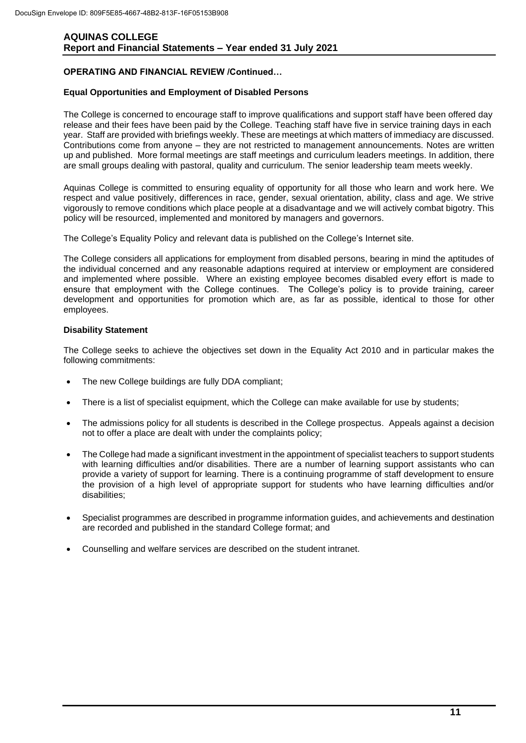## **OPERATING AND FINANCIAL REVIEW /Continued…**

### **Equal Opportunities and Employment of Disabled Persons**

 year. Staff are provided with briefings weekly. These are meetings at which matters of immediacy are discussed. Contributions come from anyone – they are not restricted to management announcements. Notes are written up and published. More formal meetings are staff meetings and curriculum leaders meetings. In addition, there are small groups dealing with pastoral, quality and curriculum. The senior leadership team meets weekly. The College is concerned to encourage staff to improve qualifications and support staff have been offered day release and their fees have been paid by the College. Teaching staff have five in service training days in each

 Aquinas College is committed to ensuring equality of opportunity for all those who learn and work here. We respect and value positively, differences in race, gender, sexual orientation, ability, class and age. We strive vigorously to remove conditions which place people at a disadvantage and we will actively combat bigotry. This policy will be resourced, implemented and monitored by managers and governors.

The College's Equality Policy and relevant data is published on the College's Internet site.

 The College considers all applications for employment from disabled persons, bearing in mind the aptitudes of the individual concerned and any reasonable adaptions required at interview or employment are considered and implemented where possible. Where an existing employee becomes disabled every effort is made to ensure that employment with the College continues. The College's policy is to provide training, career development and opportunities for promotion which are, as far as possible, identical to those for other employees.

#### **Disability Statement**

 The College seeks to achieve the objectives set down in the Equality Act 2010 and in particular makes the following commitments:

- The new College buildings are fully DDA compliant;
- There is a list of specialist equipment, which the College can make available for use by students;
- • The admissions policy for all students is described in the College prospectus. Appeals against a decision not to offer a place are dealt with under the complaints policy;
- • The College had made a significant investment in the appointment of specialist teachers to support students with learning difficulties and/or disabilities. There are a number of learning support assistants who can provide a variety of support for learning. There is a continuing programme of staff development to ensure the provision of a high level of appropriate support for students who have learning difficulties and/or disabilities;
- • Specialist programmes are described in programme information guides, and achievements and destination are recorded and published in the standard College format; and
- Counselling and welfare services are described on the student intranet.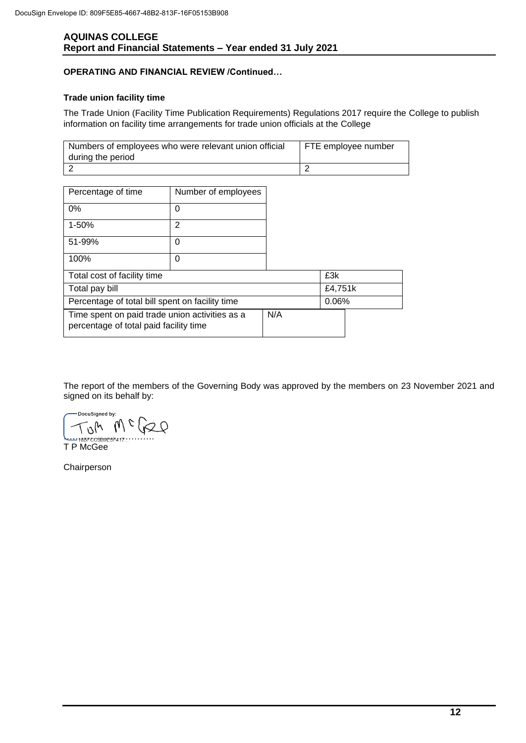## **OPERATING AND FINANCIAL REVIEW /Continued…**

## **Trade union facility time**

The Trade Union (Facility Time Publication Requirements) Regulations 2017 require the College to publish information on facility time arrangements for trade union officials at the College

| Numbers of employees who were relevant union official<br>during the period | FTE employee number |
|----------------------------------------------------------------------------|---------------------|
|                                                                            |                     |

| Percentage of time                                                                       | Number of employees |       |         |
|------------------------------------------------------------------------------------------|---------------------|-------|---------|
| 0%                                                                                       | 0                   |       |         |
| 1-50%                                                                                    | 2                   |       |         |
| 51-99%                                                                                   | 0                   |       |         |
| 100%                                                                                     | 0                   |       |         |
| Total cost of facility time                                                              |                     |       | £3k     |
| Total pay bill                                                                           |                     |       | £4,751k |
| Percentage of total bill spent on facility time                                          |                     | 0.06% |         |
| Time spent on paid trade union activities as a<br>percentage of total paid facility time |                     | N/A   |         |

 The report of the members of the Governing Body was approved by the members on 23 November 2021 and signed on its behalf by:

 $\sum_{10BFCCSB9E5F417.........}$ 

T P McGee

Chairperson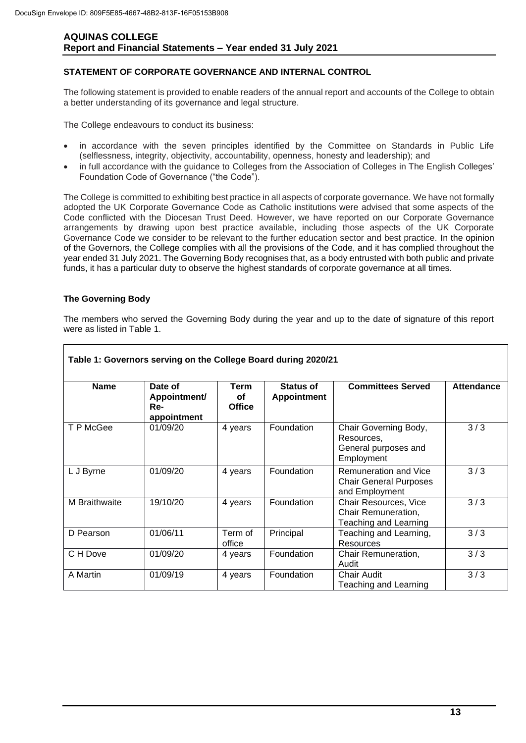## **STATEMENT OF CORPORATE GOVERNANCE AND INTERNAL CONTROL**

 The following statement is provided to enable readers of the annual report and accounts of the College to obtain a better understanding of its governance and legal structure.

The College endeavours to conduct its business:

- • in accordance with the seven principles identified by the Committee on Standards in Public Life (selflessness, integrity, objectivity, accountability, openness, honesty and leadership); and
- • in full accordance with the guidance to Colleges from the Association of Colleges in The English Colleges' Foundation Code of Governance ("the Code").

 The College is committed to exhibiting best practice in all aspects of corporate governance. We have not formally adopted the UK Corporate Governance Code as Catholic institutions were advised that some aspects of the Code conflicted with the Diocesan Trust Deed. However, we have reported on our Corporate Governance arrangements by drawing upon best practice available, including those aspects of the UK Corporate Governance Code we consider to be relevant to the further education sector and best practice. In the opinion of the Governors, the College complies with all the provisions of the Code, and it has complied throughout the year ended 31 July 2021. The Governing Body recognises that, as a body entrusted with both public and private funds, it has a particular duty to observe the highest standards of corporate governance at all times.

## **The Governing Body**

 The members who served the Governing Body during the year and up to the date of signature of this report were as listed in Table 1.

| <b>Name</b>   | Date of<br>Appointment/<br>Re-<br>appointment | Term<br>οf<br><b>Office</b> | <b>Status of</b><br><b>Appointment</b> | <b>Committees Served</b>                                                  | <b>Attendance</b> |
|---------------|-----------------------------------------------|-----------------------------|----------------------------------------|---------------------------------------------------------------------------|-------------------|
| T P McGee     | 01/09/20                                      | 4 years                     | Foundation                             | Chair Governing Body,<br>Resources,<br>General purposes and<br>Employment | 3/3               |
| L J Byrne     | 01/09/20                                      | 4 years                     | Foundation                             | Remuneration and Vice<br><b>Chair General Purposes</b><br>and Employment  | 3/3               |
| M Braithwaite | 19/10/20                                      | 4 years                     | Foundation                             | Chair Resources, Vice<br>Chair Remuneration,<br>Teaching and Learning     | 3/3               |
| D Pearson     | 01/06/11                                      | Term of<br>office           | Principal                              | Teaching and Learning,<br>Resources                                       | 3/3               |
| C H Dove      | 01/09/20                                      | 4 years                     | Foundation                             | Chair Remuneration,<br>Audit                                              | 3/3               |
| A Martin      | 01/09/19                                      | 4 years                     | Foundation                             | Chair Audit<br>Teaching and Learning                                      | 3/3               |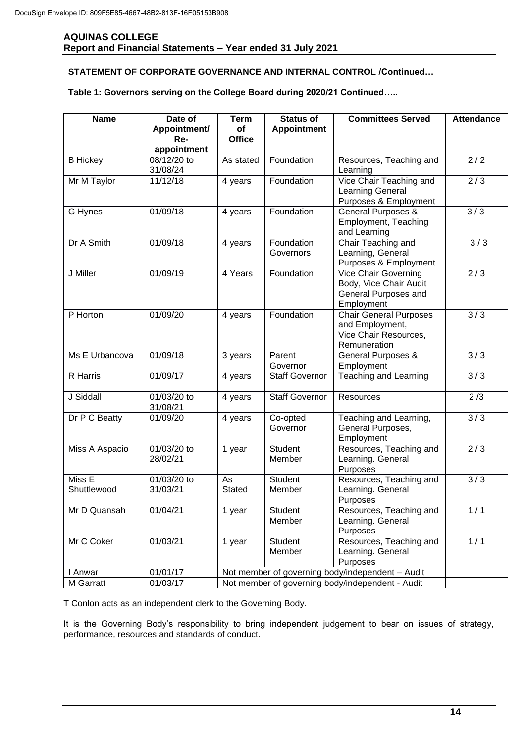# **STATEMENT OF CORPORATE GOVERNANCE AND INTERNAL CONTROL /Continued…**

## **Table 1: Governors serving on the College Board during 2020/21 Continued…..**

| <b>Name</b>     | Date of              | <b>Term</b>                                      | <b>Status of</b>      | <b>Committees Served</b>                     |                  |
|-----------------|----------------------|--------------------------------------------------|-----------------------|----------------------------------------------|------------------|
|                 | Appointment/         | <b>of</b>                                        | <b>Appointment</b>    |                                              |                  |
|                 | Re-                  | <b>Office</b>                                    |                       |                                              |                  |
|                 | appointment          |                                                  |                       |                                              |                  |
| <b>B</b> Hickey | 08/12/20 to          | As stated                                        | Foundation            | Resources, Teaching and                      | 2/2              |
| Mr M Taylor     | 31/08/24<br>11/12/18 |                                                  | Foundation            | Learning<br>Vice Chair Teaching and          | $\overline{2/3}$ |
|                 |                      | 4 years                                          |                       | Learning General                             |                  |
|                 |                      |                                                  |                       | Purposes & Employment                        |                  |
| G Hynes         | 01/09/18             | 4 years                                          | Foundation            | General Purposes &                           | 3/3              |
|                 |                      |                                                  |                       | Employment, Teaching                         |                  |
|                 |                      |                                                  |                       | and Learning                                 |                  |
| Dr A Smith      | 01/09/18             | 4 years                                          | Foundation            | Chair Teaching and                           | $\overline{3/3}$ |
|                 |                      |                                                  | Governors             | Learning, General                            |                  |
|                 |                      |                                                  |                       | Purposes & Employment                        |                  |
| J Miller        | 01/09/19             | 4 Years                                          | Foundation            | Vice Chair Governing                         | 2/3              |
|                 |                      |                                                  |                       | Body, Vice Chair Audit                       |                  |
|                 |                      |                                                  |                       | General Purposes and                         |                  |
|                 |                      |                                                  |                       | Employment                                   |                  |
| P Horton        | 01/09/20             | 4 years                                          | Foundation            | <b>Chair General Purposes</b>                | 3/3              |
|                 |                      |                                                  |                       | and Employment,<br>Vice Chair Resources,     |                  |
|                 |                      |                                                  |                       | Remuneration                                 |                  |
| Ms E Urbancova  | 01/09/18             | 3 years                                          | Parent                | General Purposes &                           | 3/3              |
|                 |                      |                                                  | Governor              | Employment                                   |                  |
| R Harris        | 01/09/17             | 4 years                                          | <b>Staff Governor</b> | Teaching and Learning                        | $\overline{3/3}$ |
|                 |                      |                                                  |                       |                                              |                  |
| J Siddall       | 01/03/20 to          | $\overline{4}$ years                             | <b>Staff Governor</b> | Resources                                    | $\overline{2/3}$ |
|                 | 31/08/21             |                                                  |                       |                                              |                  |
| Dr P C Beatty   | 01/09/20             | 4 years                                          | Co-opted              | Teaching and Learning,                       | 3/3              |
|                 |                      |                                                  | Governor              | General Purposes,                            |                  |
|                 |                      |                                                  |                       | Employment                                   |                  |
| Miss A Aspacio  | 01/03/20 to          | 1 year                                           | <b>Student</b>        | Resources, Teaching and                      | 2/3              |
|                 | 28/02/21             |                                                  | Member                | Learning. General                            |                  |
| Miss E          | 01/03/20 to          |                                                  | Student               | Purposes                                     | 3/3              |
| Shuttlewood     | 31/03/21             | As<br><b>Stated</b>                              | Member                | Resources, Teaching and<br>Learning. General |                  |
|                 |                      |                                                  |                       | Purposes                                     |                  |
| Mr D Quansah    | 01/04/21             | 1 year                                           | Student               | Resources, Teaching and                      | 1/1              |
|                 |                      |                                                  | Member                | Learning. General                            |                  |
|                 |                      |                                                  |                       | Purposes                                     |                  |
| Mr C Coker      | 01/03/21             | 1 year                                           | Student               | Resources, Teaching and                      | 1/1              |
|                 |                      |                                                  | Member                | Learning. General                            |                  |
|                 |                      |                                                  |                       | Purposes                                     |                  |
| I Anwar         | 01/01/17             | Not member of governing body/independent - Audit |                       |                                              |                  |
| M Garratt       | 01/03/17             | Not member of governing body/independent - Audit |                       |                                              |                  |

T Conlon acts as an independent clerk to the Governing Body.

 It is the Governing Body's responsibility to bring independent judgement to bear on issues of strategy, performance, resources and standards of conduct.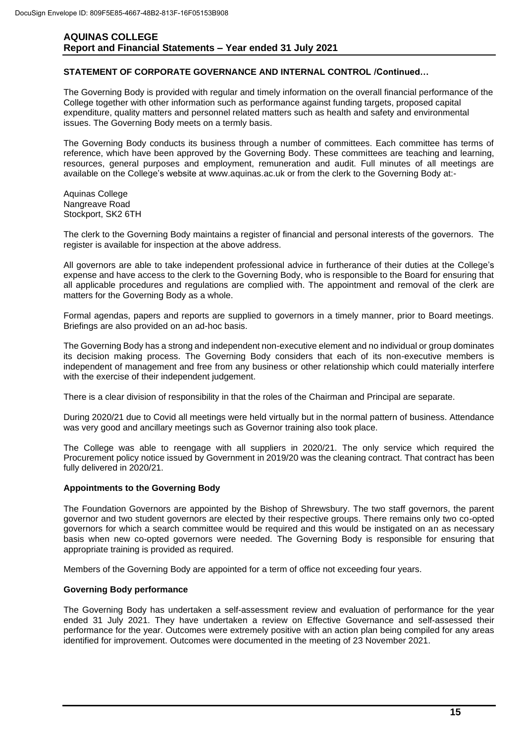## **STATEMENT OF CORPORATE GOVERNANCE AND INTERNAL CONTROL /Continued…**

The Governing Body is provided with regular and timely information on the overall financial performance of the College together with other information such as performance against funding targets, proposed capital expenditure, quality matters and personnel related matters such as health and safety and environmental issues. The Governing Body meets on a termly basis.

 The Governing Body conducts its business through a number of committees. Each committee has terms of reference, which have been approved by the Governing Body. These committees are teaching and learning, resources, general purposes and employment, remuneration and audit. Full minutes of all meetings are available on the College's website at <www.aquinas.ac.uk>or from the clerk to the Governing Body at:-

Aquinas College Nangreave Road Stockport, SK2 6TH

 The clerk to the Governing Body maintains a register of financial and personal interests of the governors. The register is available for inspection at the above address.

 All governors are able to take independent professional advice in furtherance of their duties at the College's expense and have access to the clerk to the Governing Body, who is responsible to the Board for ensuring that all applicable procedures and regulations are complied with. The appointment and removal of the clerk are matters for the Governing Body as a whole.

 Formal agendas, papers and reports are supplied to governors in a timely manner, prior to Board meetings. Briefings are also provided on an ad-hoc basis.

 The Governing Body has a strong and independent non-executive element and no individual or group dominates its decision making process. The Governing Body considers that each of its non-executive members is independent of management and free from any business or other relationship which could materially interfere with the exercise of their independent judgement.

There is a clear division of responsibility in that the roles of the Chairman and Principal are separate.

During 2020/21 due to Covid all meetings were held virtually but in the normal pattern of business. Attendance was very good and ancillary meetings such as Governor training also took place.

 The College was able to reengage with all suppliers in 2020/21. The only service which required the Procurement policy notice issued by Government in 2019/20 was the cleaning contract. That contract has been fully delivered in 2020/21.

## **Appointments to the Governing Body**

 The Foundation Governors are appointed by the Bishop of Shrewsbury. The two staff governors, the parent governor and two student governors are elected by their respective groups. There remains only two co-opted governors for which a search committee would be required and this would be instigated on an as necessary basis when new co-opted governors were needed. The Governing Body is responsible for ensuring that appropriate training is provided as required.

Members of the Governing Body are appointed for a term of office not exceeding four years.

#### **Governing Body performance**

 The Governing Body has undertaken a self-assessment review and evaluation of performance for the year ended 31 July 2021. They have undertaken a review on Effective Governance and self-assessed their performance for the year. Outcomes were extremely positive with an action plan being compiled for any areas identified for improvement. Outcomes were documented in the meeting of 23 November 2021.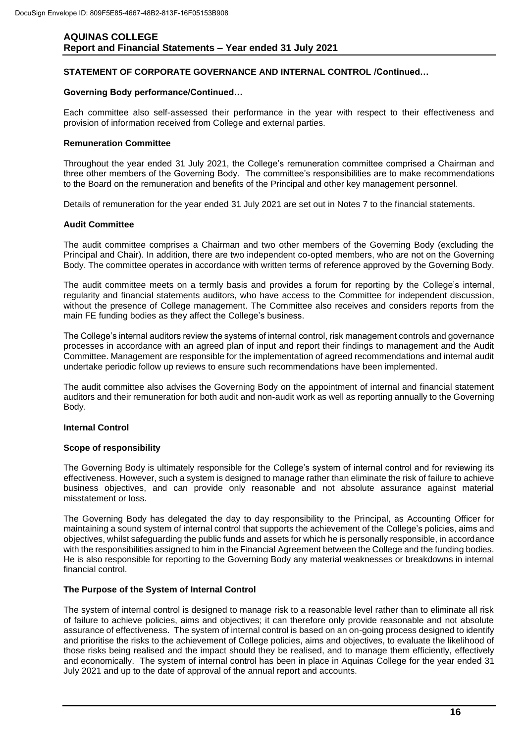## **STATEMENT OF CORPORATE GOVERNANCE AND INTERNAL CONTROL /Continued…**

#### **Governing Body performance/Continued…**

 Each committee also self-assessed their performance in the year with respect to their effectiveness and provision of information received from College and external parties.

#### **Remuneration Committee**

 Throughout the year ended 31 July 2021, the College's remuneration committee comprised a Chairman and three other members of the Governing Body. The committee's responsibilities are to make recommendations to the Board on the remuneration and benefits of the Principal and other key management personnel.

Details of remuneration for the year ended 31 July 2021 are set out in Notes 7 to the financial statements.

#### **Audit Committee**

 The audit committee comprises a Chairman and two other members of the Governing Body (excluding the Principal and Chair). In addition, there are two independent co-opted members, who are not on the Governing Body. The committee operates in accordance with written terms of reference approved by the Governing Body.

 The audit committee meets on a termly basis and provides a forum for reporting by the College's internal, regularity and financial statements auditors, who have access to the Committee for independent discussion, without the presence of College management. The Committee also receives and considers reports from the e other members of the Governing Body. The committee's<br>
e Board on the remuneration and benefits of the Principal a<br>
ails of remuneration for the year ended 31 July 2021 are set<br> **iit Committee**<br>
audit committee<br>
audit com main FE funding bodies as they affect the College's business.

 The College's internal auditors review the systems of internal control, risk management controls and governance processes in accordance with an agreed plan of input and report their findings to management and the Audit Committee. Management are responsible for the implementation of agreed recommendations and internal audit undertake periodic follow up reviews to ensure such recommendations have been implemented.

 The audit committee also advises the Governing Body on the appointment of internal and financial statement auditors and their remuneration for both audit and non-audit work as well as reporting annually to the Governing Body.

## **Internal Control**

#### **Scope of responsibility**

 The Governing Body is ultimately responsible for the College's system of internal control and for reviewing its effectiveness. However, such a system is designed to manage rather than eliminate the risk of failure to achieve business objectives, and can provide only reasonable and not absolute assurance against material misstatement or loss.

 The Governing Body has delegated the day to day responsibility to the Principal, as Accounting Officer for maintaining a sound system of internal control that supports the achievement of the College's policies, aims and objectives, whilst safeguarding the public funds and assets for which he is personally responsible, in accordance with the responsibilities assigned to him in the Financial Agreement between the College and the funding bodies. He is also responsible for reporting to the Governing Body any material weaknesses or breakdowns in internal financial control.

#### **The Purpose of the System of Internal Control**

 The system of internal control is designed to manage risk to a reasonable level rather than to eliminate all risk of failure to achieve policies, aims and objectives; it can therefore only provide reasonable and not absolute assurance of effectiveness. The system of internal control is based on an on-going process designed to identify those risks being realised and the impact should they be realised, and to manage them efficiently, effectively and economically. The system of internal control has been in place in Aquinas College for the year ended 31 and prioritise the risks to the achievement of College policies, aims and objectives, to evaluate the likelihood of July 2021 and up to the date of approval of the annual report and accounts.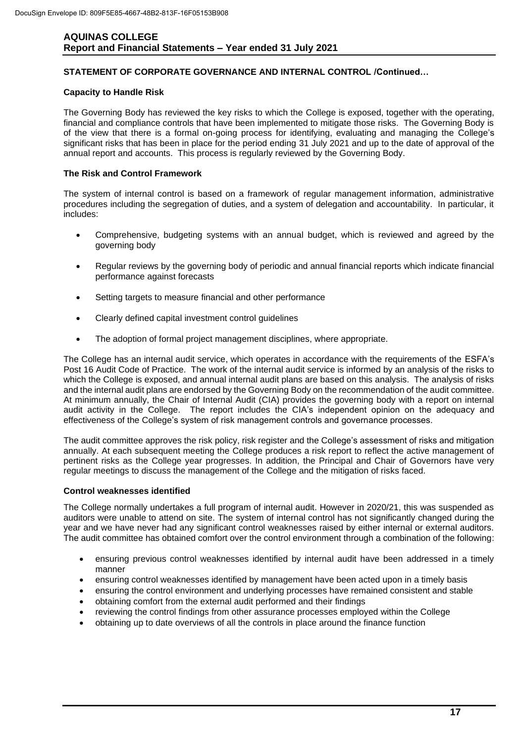## **STATEMENT OF CORPORATE GOVERNANCE AND INTERNAL CONTROL /Continued…**

### **Capacity to Handle Risk**

 The Governing Body has reviewed the key risks to which the College is exposed, together with the operating, financial and compliance controls that have been implemented to mitigate those risks. The Governing Body is of the view that there is a formal on-going process for identifying, evaluating and managing the College's significant risks that has been in place for the period ending 31 July 2021 and up to the date of approval of the annual report and accounts. This process is regularly reviewed by the Governing Body.

#### **The Risk and Control Framework**

 The system of internal control is based on a framework of regular management information, administrative procedures including the segregation of duties, and a system of delegation and accountability. In particular, it includes:

- • Comprehensive, budgeting systems with an annual budget, which is reviewed and agreed by the governing body
- Regular reviews by the governing body of periodic and annual financial reports which indicate financial performance against forecasts
- Setting targets to measure financial and other performance
- Clearly defined capital investment control guidelines
- The adoption of formal project management disciplines, where appropriate.

 The College has an internal audit service, which operates in accordance with the requirements of the ESFA's Post 16 Audit Code of Practice. The work of the internal audit service is informed by an analysis of the risks to and the internal audit plans are endorsed by the Governing Body on the recommendation of the audit committee. At minimum annually, the Chair of Internal Audit (CIA) provides the governing body with a report on internal audit activity in the College. The report includes the CIA's independent opinion on the adequacy and which the College is exposed, and annual internal audit plans are based on this analysis. The analysis of risks effectiveness of the College's system of risk management controls and governance processes.

 The audit committee approves the risk policy, risk register and the College's assessment of risks and mitigation annually. At each subsequent meeting the College produces a risk report to reflect the active management of pertinent risks as the College year progresses. In addition, the Principal and Chair of Governors have very regular meetings to discuss the management of the College and the mitigation of risks faced.

#### **Control weaknesses identified**

 The College normally undertakes a full program of internal audit. However in 2020/21, this was suspended as auditors were unable to attend on site. The system of internal control has not significantly changed during the year and we have never had any significant control weaknesses raised by either internal or external auditors. The audit committee has obtained comfort over the control environment through a combination of the following:

- • ensuring previous control weaknesses identified by internal audit have been addressed in a timely manner
- ensuring control weaknesses identified by management have been acted upon in a timely basis
- ensuring the control environment and underlying processes have remained consistent and stable
- obtaining comfort from the external audit performed and their findings
- reviewing the control findings from other assurance processes employed within the College
- obtaining up to date overviews of all the controls in place around the finance function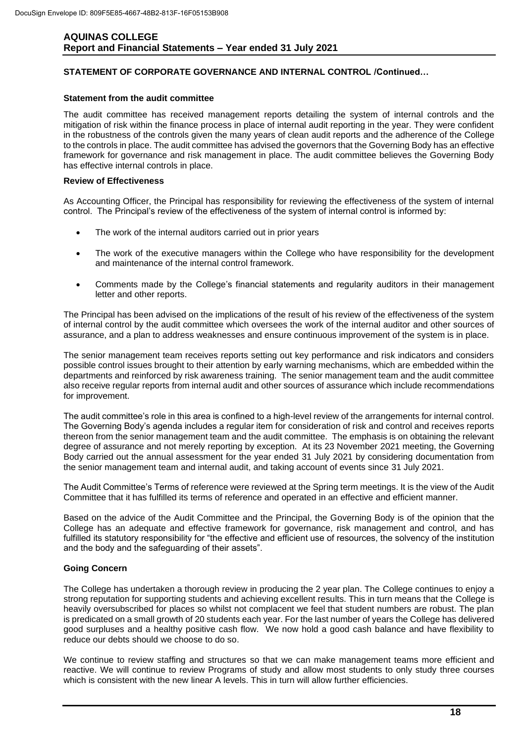## **STATEMENT OF CORPORATE GOVERNANCE AND INTERNAL CONTROL /Continued…**

#### **Statement from the audit committee**

 The audit committee has received management reports detailing the system of internal controls and the mitigation of risk within the finance process in place of internal audit reporting in the year. They were confident in the robustness of the controls given the many years of clean audit reports and the adherence of the College to the controls in place. The audit committee has advised the governors that the Governing Body has an effective framework for governance and risk management in place. The audit committee believes the Governing Body has effective internal controls in place.

#### **Review of Effectiveness**

 As Accounting Officer, the Principal has responsibility for reviewing the effectiveness of the system of internal control. The Principal's review of the effectiveness of the system of internal control is informed by:

- The work of the internal auditors carried out in prior years
- • The work of the executive managers within the College who have responsibility for the development and maintenance of the internal control framework.
- Comments made by the College's financial statements and regularity auditors in their management letter and other reports.

 The Principal has been advised on the implications of the result of his review of the effectiveness of the system of internal control by the audit committee which oversees the work of the internal auditor and other sources of assurance, and a plan to address weaknesses and ensure continuous improvement of the system is in place.

 The senior management team receives reports setting out key performance and risk indicators and considers possible control issues brought to their attention by early warning mechanisms, which are embedded within the departments and reinforced by risk awareness training. The senior management team and the audit committee also receive regular reports from internal audit and other sources of assurance which include recommendations for improvement.

 The audit committee's role in this area is confined to a high-level review of the arrangements for internal control. The Governing Body's agenda includes a regular item for consideration of risk and control and receives reports thereon from the senior management team and the audit committee. The emphasis is on obtaining the relevant degree of assurance and not merely reporting by exception. At its 23 November 2021 meeting, the Governing Body carried out the annual assessment for the year ended 31 July 2021 by considering documentation from r<br>in<br>ar<br>ar<br>in the senior management team and internal audit, and taking account of events since 31 July 2021.

 The Audit Committee's Terms of reference were reviewed at the Spring term meetings. It is the view of the Audit Committee that it has fulfilled its terms of reference and operated in an effective and efficient manner.

 Based on the advice of the Audit Committee and the Principal, the Governing Body is of the opinion that the College has an adequate and effective framework for governance, risk management and control, and has fulfilled its statutory responsibility for "the effective and efficient use of resources, the solvency of the institution and the body and the safeguarding of their assets".

## **Going Concern**

 The College has undertaken a thorough review in producing the 2 year plan. The College continues to enjoy a strong reputation for supporting students and achieving excellent results. This in turn means that the College is heavily oversubscribed for places so whilst not complacent we feel that student numbers are robust. The plan is predicated on a small growth of 20 students each year. For the last number of years the College has delivered good surpluses and a healthy positive cash flow. We now hold a good cash balance and have flexibility to reduce our debts should we choose to do so.

 reactive. We will continue to review Programs of study and allow most students to only study three courses We continue to review staffing and structures so that we can make management teams more efficient and which is consistent with the new linear A levels. This in turn will allow further efficiencies.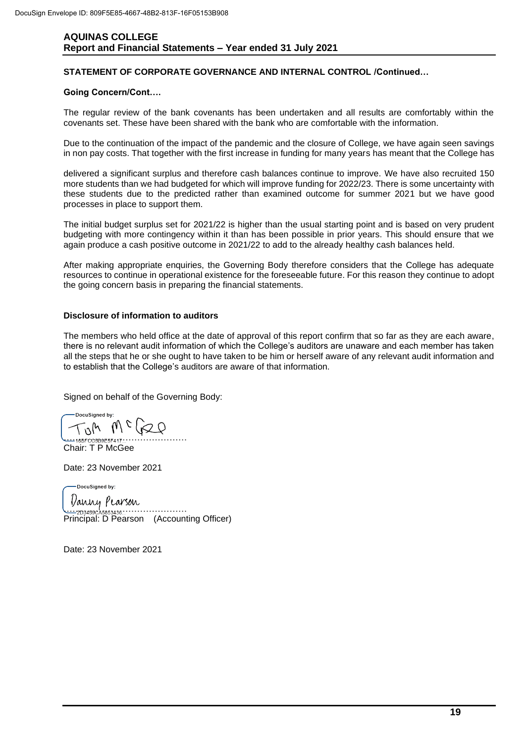## **STATEMENT OF CORPORATE GOVERNANCE AND INTERNAL CONTROL /Continued…**

#### **Going Concern/Cont….**

 The regular review of the bank covenants has been undertaken and all results are comfortably within the covenants set. These have been shared with the bank who are comfortable with the information.

 in non pay costs. That together with the first increase in funding for many years has meant that the College has Due to the continuation of the impact of the pandemic and the closure of College, we have again seen savings

 delivered a significant surplus and therefore cash balances continue to improve. We have also recruited 150 more students than we had budgeted for which will improve funding for 2022/23. There is some uncertainty with these students due to the predicted rather than examined outcome for summer 2021 but we have good processes in place to support them.

 The initial budget surplus set for 2021/22 is higher than the usual starting point and is based on very prudent budgeting with more contingency within it than has been possible in prior years. This should ensure that we again produce a cash positive outcome in 2021/22 to add to the already healthy cash balances held.

 After making appropriate enquiries, the Governing Body therefore considers that the College has adequate resources to continue in operational existence for the foreseeable future. For this reason they continue to adopt the going concern basis in preparing the financial statements.

#### **Disclosure of information to auditors**

 The members who held office at the date of approval of this report confirm that so far as they are each aware, there is no relevant audit information of which the College's auditors are unaware and each member has taken all the steps that he or she ought to have taken to be him or herself aware of any relevant audit information and to establish that the College's auditors are aware of that information.

Signed on behalf of the Governing Body:

r<br>Enercosespese  $\mathbf{N}$ 

Chair: T P McGee

Date: 23 November 2021

DocuSigned by: …………………………………… Principal: D Pearson (Accounting Officer)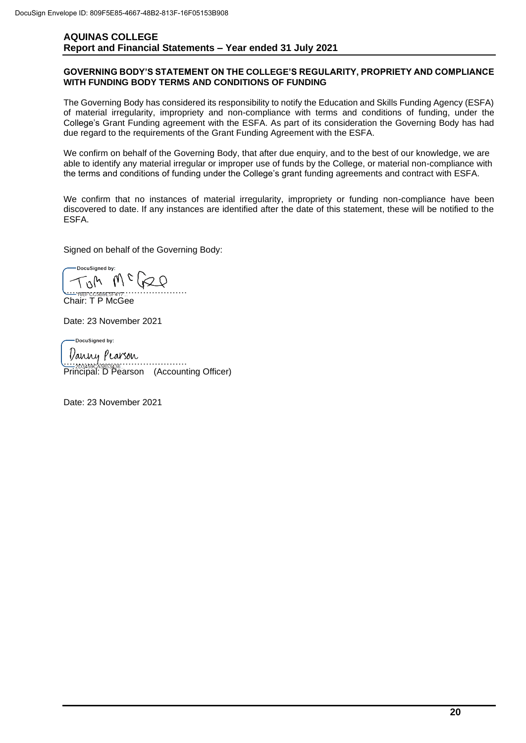# **AQUINAS COLLEGE Report and Financial Statements – Year ended 31 July 2021**

### **GOVERNING BODY'S STATEMENT ON THE COLLEGE'S REGULARITY, PROPRIETY AND COMPLIANCE WITH FUNDING BODY TERMS AND CONDITIONS OF FUNDING**

 The Governing Body has considered its responsibility to notify the Education and Skills Funding Agency (ESFA) of material irregularity, impropriety and non-compliance with terms and conditions of funding, under the College's Grant Funding agreement with the ESFA. As part of its consideration the Governing Body has had due regard to the requirements of the Grant Funding Agreement with the ESFA.

We confirm on behalf of the Governing Body, that after due enquiry, and to the best of our knowledge, we are able to identify any material irregular or improper use of funds by the College, or material non-compliance with the terms and conditions of funding under the College's grant funding agreements and contract with ESFA.

 We confirm that no instances of material irregularity, impropriety or funding non-compliance have been discovered to date. If any instances are identified after the date of this statement, these will be notified to the ESFA.

Signed on behalf of the Governing Body:

DocuSianed by: .<br>16BFCC5B9E5F417

Chair: T P McGee

Date: 23 November 2021

DocuSianed by:  $\frac{1}{2}$ Principal: D Pearson (Accounting Officer)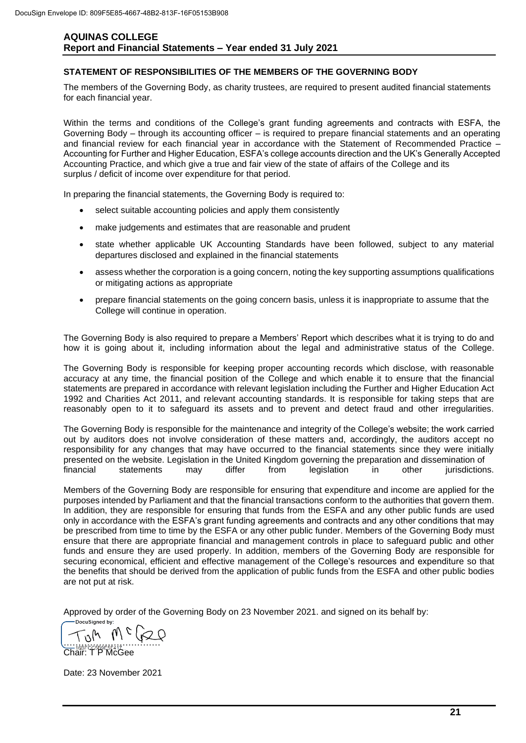# **Report and Financial Statements – Year ended 31 July 2021**

## **STATEMENT OF RESPONSIBILITIES OF THE MEMBERS OF THE GOVERNING BODY**

The members of the Governing Body, as charity trustees, are required to present audited financial statements for each financial year.

 Within the terms and conditions of the College's grant funding agreements and contracts with ESFA, the Governing Body – through its accounting officer – is required to prepare financial statements and an operating and financial review for each financial year in accordance with the Statement of Recommended Practice – Accounting for Further and Higher Education, ESFA's college accounts direction and the UK's Generally Accepted for Further and Higher Education, ESFA's college<br>Practice, and which give a true and fair view of th<br>eficit of income over expenditure for that period.<br>g the financial statements, the Governing Body is<br>ect suitable account Accounting Practice, and which give a true and fair view of the state of affairs of the College and its surplus / deficit of income over expenditure for that period.

In preparing the financial statements, the Governing Body is required to:

- select suitable accounting policies and apply them consistently
- make judgements and estimates that are reasonable and prudent
- • state whether applicable UK Accounting Standards have been followed, subject to any material departures disclosed and explained in the financial statements
- • assess whether the corporation is a going concern, noting the key supporting assumptions qualifications or mitigating actions as appropriate
- prepare financial statements on the going concern basis, unless it is inappropriate to assume that the College will continue in operation.

 The Governing Body is also required to prepare a Members' Report which describes what it is trying to do and how it is going about it, including information about the legal and administrative status of the College.

 The Governing Body is responsible for keeping proper accounting records which disclose, with reasonable accuracy at any time, the financial position of the College and which enable it to ensure that the financial 1992 and Charities Act 2011, and relevant accounting standards. It is responsible for taking steps that are reasonably open to it to safeguard its assets and to prevent and detect fraud and other irregularities. statements are prepared in accordance with relevant legislation including the Further and Higher Education Act

 The Governing Body is responsible for the maintenance and integrity of the College's website; the work carried out by auditors does not involve consideration of these matters and, accordingly, the auditors accept no responsibility for any changes that may have occurred to the financial statements since they were initially statements presented on the website. Legislation in the United Kingdom governing the preparation and dissemination of financial statements may differ from legislation in other jurisdictions.

 Members of the Governing Body are responsible for ensuring that expenditure and income are applied for the purposes intended by Parliament and that the financial transactions conform to the authorities that govern them. In addition, they are responsible for ensuring that funds from the ESFA and any other public funds are used only in accordance with the ESFA's grant funding agreements and contracts and any other conditions that may be prescribed from time to time by the ESFA or any other public funder. Members of the Governing Body must ensure that there are appropriate financial and management controls in place to safeguard public and other funds and ensure they are used properly. In addition, members of the Governing Body are responsible for securing economical, efficient and effective management of the College's resources and expenditure so that the benefits that should be derived from the application of public funds from the ESFA and other public bodies **AQUINAS COLLEGE**<br> **ARPORT and Financial Statements – Year ended 31 July 2021**<br> **ARPORT and Financial Statements – Year ended 31 July 2021**<br> **STATEMENT OF RESPONSIBILITIES OF THE MEMBERS OF THE GOV**<br>
The members of the Gov are not put at risk.

Approved by order of the Governing Body on 23 November 2021. and signed on its behalf by:<br>
pocusigned by:<br>
pocusigned by:

…………………………… Chair: T P McGee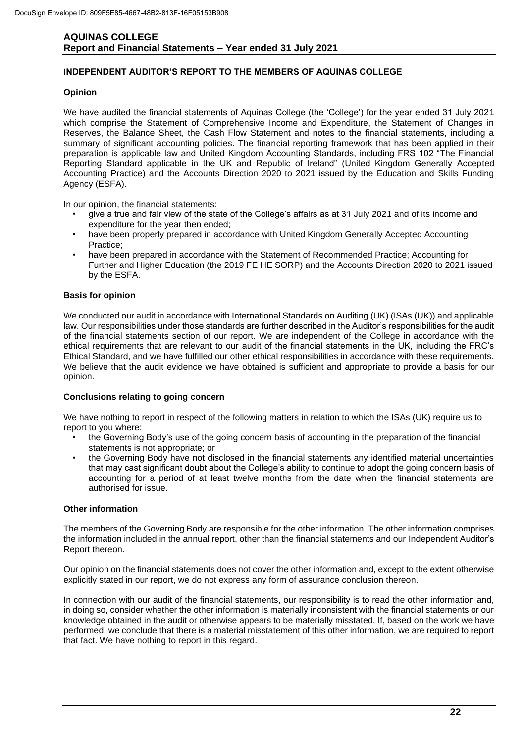## **INDEPENDENT AUDITOR'S REPORT TO THE MEMBERS OF AQUINAS COLLEGE**

#### **Opinion**

 We have audited the financial statements of Aquinas College (the 'College') for the year ended 31 July 2021 which comprise the Statement of Comprehensive Income and Expenditure, the Statement of Changes in Reserves, the Balance Sheet, the Cash Flow Statement and notes to the financial statements, including a summary of significant accounting policies. The financial reporting framework that has been applied in their preparation is applicable law and United Kingdom Accounting Standards, including FRS 102 "The Financial We have audited the financial statements of Aquinas College (the 'College') for the year ended 31 July 2021<br>which comprise the Statement of Comprehensive Income and Expenditure, the Statement of Changes in<br>Reserves, the Ba Accounting Practice) and the Accounts Direction 2020 to 2021 issued by the Education and Skills Funding Agency (ESFA).

In our opinion, the financial statements:

- • give a true and fair view of the state of the College's affairs as at 31 July 2021 and of its income and expenditure for the year then ended;
- have been properly prepared in accordance with United Kingdom Generally Accepted Accounting Practice;
- have been prepared in accordance with the Statement of Recommended Practice; Accounting for Further and Higher Education (the 2019 FE HE SORP) and the Accounts Direction 2020 to 2021 issued by the ESFA.

#### **Basis for opinion**

 We conducted our audit in accordance with International Standards on Auditing (UK) (ISAs (UK)) and applicable law. Our responsibilities under those standards are further described in the Auditor's responsibilities for the audit of the financial statements section of our report. We are independent of the College in accordance with the ethical requirements that are relevant to our audit of the financial statements in the UK, including the FRC's Ethical Standard, and we have fulfilled our other ethical responsibilities in accordance with these requirements. We believe that the audit evidence we have obtained is sufficient and appropriate to provide a basis for our ir view of the state of the Comparent Comparation<br>The year then ended;<br>They prepared in accordance with the Star Education (the 2019 FE H<br>They Education (the 2019 FE H<br>in accordance with Internation<br>In accordance with Inte opinion.

#### **Conclusions relating to going concern**

We have nothing to report in respect of the following matters in relation to which the ISAs (UK) require us to report to you where:

- the Governing Body's use of the going concern basis of accounting in the preparation of the financial statements is not appropriate; or
- • the Governing Body have not disclosed in the financial statements any identified material uncertainties that may cast significant doubt about the College's ability to continue to adopt the going concern basis of accounting for a period of at least twelve months from the date when the financial statements are authorised for issue.

#### **Other information**

 The members of the Governing Body are responsible for the other information. The other information comprises the information included in the annual report, other than the financial statements and our Independent Auditor's Report thereon.

 Our opinion on the financial statements does not cover the other information and, except to the extent otherwise explicitly stated in our report, we do not express any form of assurance conclusion thereon.

 In connection with our audit of the financial statements, our responsibility is to read the other information and, in doing so, consider whether the other information is materially inconsistent with the financial statements or our knowledge obtained in the audit or otherwise appears to be materially misstated. If, based on the work we have performed, we conclude that there is a material misstatement of this other information, we are required to report that fact. We have nothing to report in this regard.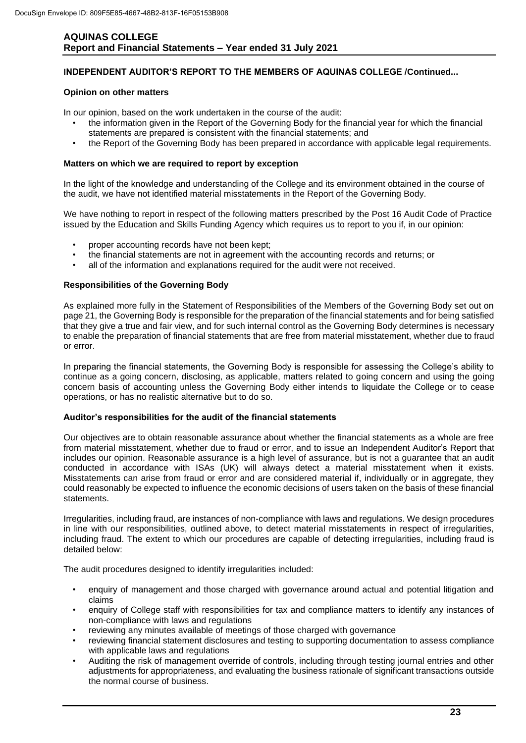## **INDEPENDENT AUDITOR'S REPORT TO THE MEMBERS OF AQUINAS COLLEGE /Continued...**

#### **Opinion on other matters**

In our opinion, based on the work undertaken in the course of the audit:

- • the information given in the Report of the Governing Body for the financial year for which the financial statements are prepared is consistent with the financial statements; and
- the Report of the Governing Body has been prepared in accordance with applicable legal requirements.

#### **Matters on which we are required to report by exception**

In the light of the knowledge and understanding of the College and its environment obtained in the course of the audit, we have not identified material misstatements in the Report of the Governing Body.

 issued by the Education and Skills Funding Agency which requires us to report to you if, in our opinion: We have nothing to report in respect of the following matters prescribed by the Post 16 Audit Code of Practice

- proper accounting records have not been kept;
- the financial statements are not in agreement with the accounting records and returns; or
- all of the information and explanations required for the audit were not received.

#### **Responsibilities of the Governing Body**

 As explained more fully in the Statement of Responsibilities of the Members of the Governing Body set out on page 21, the Governing Body is responsible for the preparation of the financial statements and for being satisfied that they give a true and fair view, and for such internal control as the Governing Body determines is necessary to enable the preparation of financial statements that are free from material misstatement, whether due to fraud or error.

 In preparing the financial statements, the Governing Body is responsible for assessing the College's ability to continue as a going concern, disclosing, as applicable, matters related to going concern and using the going concern basis of accounting unless the Governing Body either intends to liquidate the College or to cease operations, or has no realistic alternative but to do so.

#### **Auditor's responsibilities for the audit of the financial statements**

 Our objectives are to obtain reasonable assurance about whether the financial statements as a whole are free from material misstatement, whether due to fraud or error, and to issue an Independent Auditor's Report that includes our opinion. Reasonable assurance is a high level of assurance, but is not a guarantee that an audit conducted in accordance with ISAs (UK) will always detect a material misstatement when it exists. Misstatements can arise from fraud or error and are considered material if, individually or in aggregate, they could reasonably be expected to influence the economic decisions of users taken on the basis of these financial statements.

 Irregularities, including fraud, are instances of non-compliance with laws and regulations. We design procedures including fraud. The extent to which our procedures are capable of detecting irregularities, including fraud is in line with our responsibilities, outlined above, to detect material misstatements in respect of irregularities, detailed below:

The audit procedures designed to identify irregularities included:

- • enquiry of management and those charged with governance around actual and potential litigation and claims
- • enquiry of College staff with responsibilities for tax and compliance matters to identify any instances of non-compliance with laws and regulations
- reviewing any minutes available of meetings of those charged with governance
- reviewing financial statement disclosures and testing to supporting documentation to assess compliance with applicable laws and regulations
- • Auditing the risk of management override of controls, including through testing journal entries and other adjustments for appropriateness, and evaluating the business rationale of significant transactions outside the normal course of business.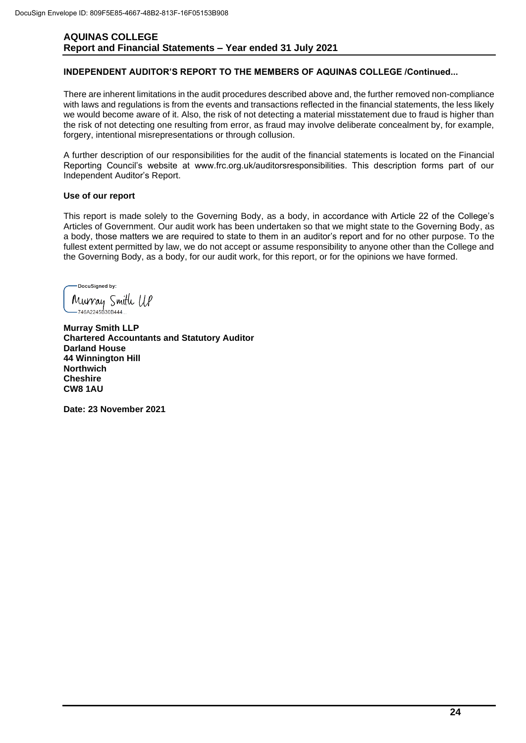# **Report and Financial Statements – Year ended 31 July 2021**

## **INDEPENDENT AUDITOR'S REPORT TO THE MEMBERS OF AQUINAS COLLEGE /Continued...**

 There are inherent limitations in the audit procedures described above and, the further removed non-compliance with laws and regulations is from the events and transactions reflected in the financial statements, the less likely we would become aware of it. Also, the risk of not detecting a material misstatement due to fraud is higher than **AQUINAS COLLEGE<br>
Report and Financial**<br> **INDEPENDENT AUDITC**<br>
There are inherent limitat<br>
with laws and regulations<br>
we would become aware<br>
the risk of not detecting c<br>
forgery, intentional misre<br>
A further description of the risk of not detecting one resulting from error, as fraud may involve deliberate concealment by, for example, forgery, intentional misrepresentations or through collusion.

 A further description of our responsibilities for the audit of the financial statements is located on the Financial Reporting Council's website at <www.frc.org.uk/auditorsresponsibilities>. This description forms part of our Independent Auditor's Report.

#### **Use of our report**

 This report is made solely to the Governing Body, as a body, in accordance with Article 22 of the College's a body, those matters we are required to state to them in an auditor's report and for no other purpose. To the fullest extent permitted by law, we do not accept or assume responsibility to anyone other than the College and the Governing Body, as a body, for our audit work, for this report, or for the opinions we have formed. Articles of Government. Our audit work has been undertaken so that we might state to the Governing Body, as

DocuSianed by: Murray Smith UP -746A2245B30B444...

**Murray Smith LLP Chartered Accountants and Statutory Auditor Darland House 44 Winnington Hill Northwich Cheshire CW8 1AU**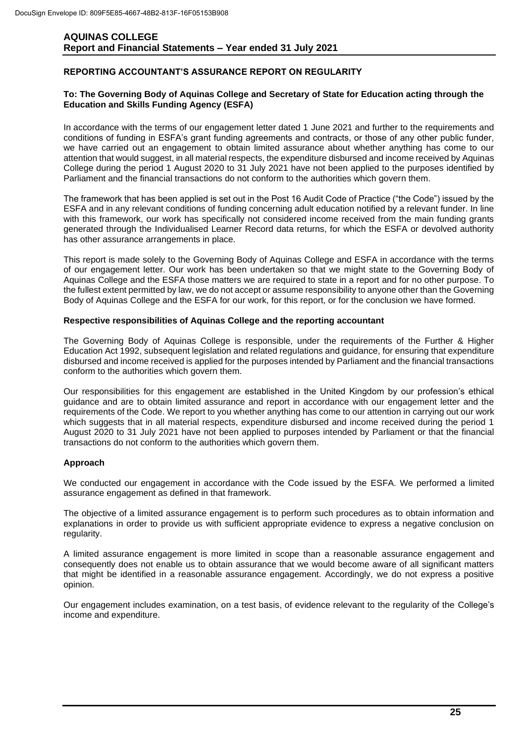## **REPORTING ACCOUNTANT'S ASSURANCE REPORT ON REGULARITY**

## **To: The Governing Body of Aquinas College and Secretary of State for Education acting through the Education and Skills Funding Agency (ESFA)**

 In accordance with the terms of our engagement letter dated 1 June 2021 and further to the requirements and conditions of funding in ESFA's grant funding agreements and contracts, or those of any other public funder, we have carried out an engagement to obtain limited assurance about whether anything has come to our attention that would suggest, in all material respects, the expenditure disbursed and income received by Aquinas College during the period 1 August 2020 to 31 July 2021 have not been applied to the purposes identified by Parliament and the financial transactions do not conform to the authorities which govern them.

 The framework that has been applied is set out in the Post 16 Audit Code of Practice ("the Code") issued by the ESFA and in any relevant conditions of funding concerning adult education notified by a relevant funder. In line with this framework, our work has specifically not considered income received from the main funding grants generated through the Individualised Learner Record data returns, for which the ESFA or devolved authority has other assurance arrangements in place.

 This report is made solely to the Governing Body of Aquinas College and ESFA in accordance with the terms of our engagement letter. Our work has been undertaken so that we might state to the Governing Body of Aquinas College and the ESFA those matters we are required to state in a report and for no other purpose. To the fullest extent permitted by law, we do not accept or assume responsibility to anyone other than the Governing framework that has been applied is set out in the Post<br>FA and in any relevant conditions of funding concerning<br>this framework, our work has specifically not conside<br>erated through the Individualised Learner Record data<br>oth Body of Aquinas College and the ESFA for our work, for this report, or for the conclusion we have formed.

#### **Respective responsibilities of Aquinas College and the reporting accountant**

 The Governing Body of Aquinas College is responsible, under the requirements of the Further & Higher Education Act 1992, subsequent legislation and related regulations and guidance, for ensuring that expenditure disbursed and income received is applied for the purposes intended by Parliament and the financial transactions conform to the authorities which govern them.

 Our responsibilities for this engagement are established in the United Kingdom by our profession's ethical guidance and are to obtain limited assurance and report in accordance with our engagement letter and the requirements of the Code. We report to you whether anything has come to our attention in carrying out our work which suggests that in all material respects, expenditure disbursed and income received during the period 1 August 2020 to 31 July 2021 have not been applied to purposes intended by Parliament or that the financial transactions do not conform to the authorities which govern them.

## **Approach**

 We conducted our engagement in accordance with the Code issued by the ESFA. We performed a limited assurance engagement as defined in that framework.

 The objective of a limited assurance engagement is to perform such procedures as to obtain information and explanations in order to provide us with sufficient appropriate evidence to express a negative conclusion on regularity.

 A limited assurance engagement is more limited in scope than a reasonable assurance engagement and consequently does not enable us to obtain assurance that we would become aware of all significant matters that might be identified in a reasonable assurance engagement. Accordingly, we do not express a positive opinion.

 Our engagement includes examination, on a test basis, of evidence relevant to the regularity of the College's income and expenditure.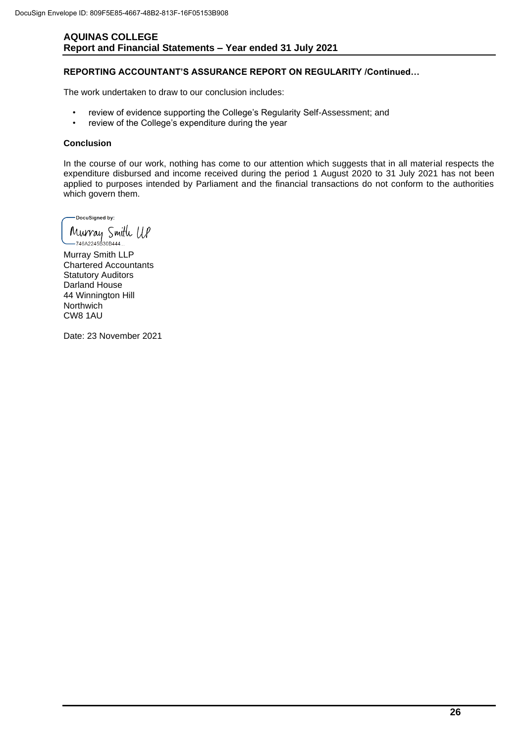## **REPORTING ACCOUNTANT'S ASSURANCE REPORT ON REGULARITY /Continued…**

The work undertaken to draw to our conclusion includes:

- review of evidence supporting the College's Regularity Self-Assessment; and
- review of the College's expenditure during the year

#### **Conclusion**

 In the course of our work, nothing has come to our attention which suggests that in all material respects the expenditure disbursed and income received during the period 1 August 2020 to 31 July 2021 has not been applied to purposes intended by Parliament and the financial transactions do not conform to the authorities which govern them.

-DocuSigned by:

Murray Smith UP

Murray Smith LLP Chartered Accountants Statutory Auditors Darland House 44 Winnington Hill Northwich CW8 1AU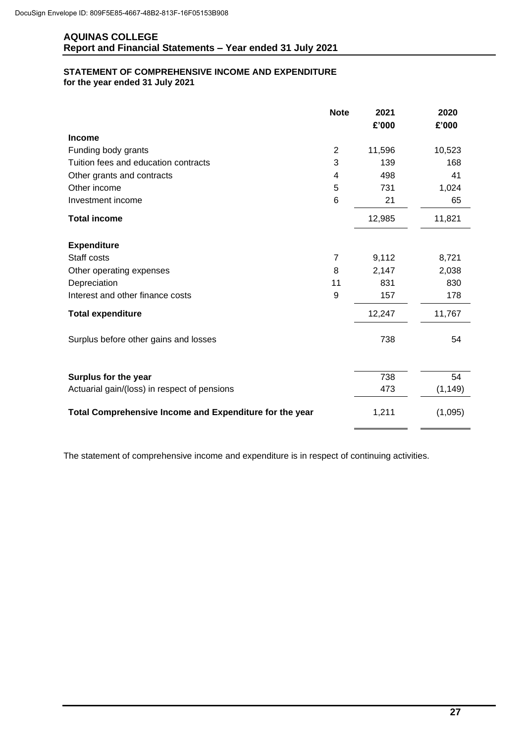### **STATEMENT OF COMPREHENSIVE INCOME AND EXPENDITURE for the year ended 31 July 2021**

|                                                         | <b>Note</b>    | 2021<br>£'000 | 2020<br>£'000 |
|---------------------------------------------------------|----------------|---------------|---------------|
| <b>Income</b>                                           |                |               |               |
| Funding body grants                                     | $\overline{2}$ | 11,596        | 10,523        |
| Tuition fees and education contracts                    | 3              | 139           | 168           |
| Other grants and contracts                              | 4              | 498           | 41            |
| Other income                                            | 5              | 731           | 1,024         |
| Investment income                                       | 6              | 21            | 65            |
| <b>Total income</b>                                     |                | 12,985        | 11,821        |
| <b>Expenditure</b>                                      |                |               |               |
| Staff costs                                             | 7              | 9,112         | 8,721         |
| Other operating expenses                                | 8              | 2,147         | 2,038         |
| Depreciation                                            | 11             | 831           | 830           |
| Interest and other finance costs                        | 9              | 157           | 178           |
| <b>Total expenditure</b>                                |                | 12,247        | 11,767        |
| Surplus before other gains and losses                   |                | 738           | 54            |
| Surplus for the year                                    |                | 738           | 54            |
| Actuarial gain/(loss) in respect of pensions            |                | 473           | (1, 149)      |
| Total Comprehensive Income and Expenditure for the year |                | 1,211         | (1,095)       |

The statement of comprehensive income and expenditure is in respect of continuing activities.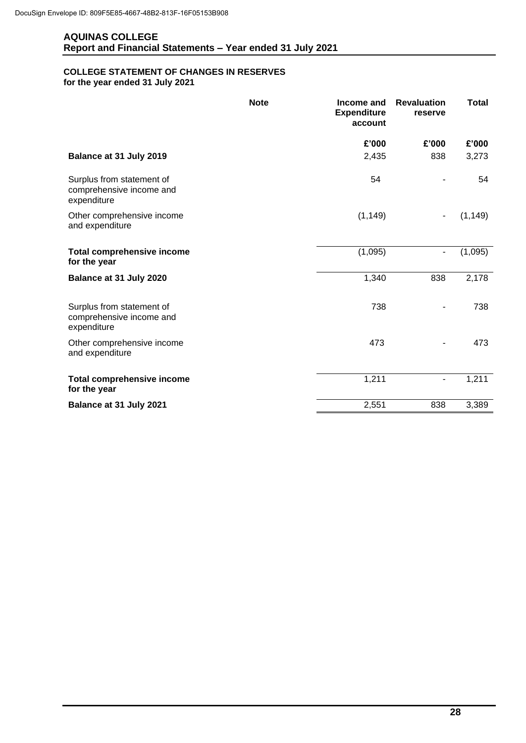#### **COLLEGE STATEMENT OF CHANGES IN RESERVES for the year ended 31 July 2021**

|                                                                      | <b>Note</b> | Income and<br><b>Expenditure</b><br>account | <b>Revaluation</b><br>reserve | Total    |
|----------------------------------------------------------------------|-------------|---------------------------------------------|-------------------------------|----------|
|                                                                      |             | £'000                                       | £'000                         | £'000    |
| Balance at 31 July 2019                                              |             | 2,435                                       | 838                           | 3,273    |
| Surplus from statement of<br>comprehensive income and<br>expenditure |             | 54                                          |                               | 54       |
| Other comprehensive income<br>and expenditure                        |             | (1, 149)                                    | ۰                             | (1, 149) |
| <b>Total comprehensive income</b><br>for the year                    |             | (1,095)                                     | $\overline{\phantom{0}}$      | (1,095)  |
| Balance at 31 July 2020                                              |             | 1,340                                       | 838                           | 2,178    |
| Surplus from statement of<br>comprehensive income and<br>expenditure |             | 738                                         |                               | 738      |
| Other comprehensive income<br>and expenditure                        |             | 473                                         |                               | 473      |
| <b>Total comprehensive income</b><br>for the year                    |             | 1,211                                       | $\frac{1}{2}$                 | 1,211    |
| Balance at 31 July 2021                                              |             | 2,551                                       | 838                           | 3,389    |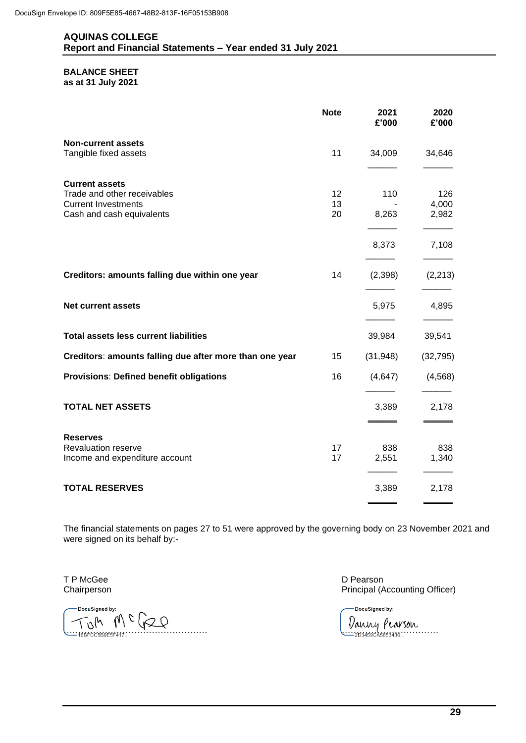#### **BALANCE SHEET as at 31 July 2021**

|                                                         | <b>Note</b> | 2021<br>£'000 | 2020<br>£'000  |
|---------------------------------------------------------|-------------|---------------|----------------|
| <b>Non-current assets</b>                               |             |               |                |
| Tangible fixed assets                                   | 11          | 34,009        | 34,646         |
| <b>Current assets</b>                                   |             |               |                |
| Trade and other receivables                             | 12          | 110           | 126            |
| <b>Current Investments</b><br>Cash and cash equivalents | 13<br>20    | 8,263         | 4,000<br>2,982 |
|                                                         |             |               |                |
|                                                         |             | 8,373         | 7,108          |
| Creditors: amounts falling due within one year          | 14          | (2, 398)      | (2, 213)       |
| <b>Net current assets</b>                               |             | 5,975         | 4,895          |
| <b>Total assets less current liabilities</b>            |             | 39,984        | 39,541         |
| Creditors: amounts falling due after more than one year | 15          | (31, 948)     | (32, 795)      |
| <b>Provisions: Defined benefit obligations</b>          | 16          | (4,647)       | (4, 568)       |
| <b>TOTAL NET ASSETS</b>                                 |             | 3,389         | 2,178          |
| <b>Reserves</b>                                         |             |               |                |
| <b>Revaluation reserve</b>                              | 17          | 838           | 838            |
| Income and expenditure account                          | 17          | 2,551         | 1,340          |
| <b>TOTAL RESERVES</b>                                   |             | 3,389         | 2,178          |
|                                                         |             |               |                |

The financial statements on pages 27 to 51 were approved by the governing body on 23 November 2021 and were signed on its behalf by:-

T P McGee D Pearson

…………………………………………. ……………………………

Chairperson **Principal (Accounting Officer) Principal (Accounting Officer)** 

-DocuSigned by: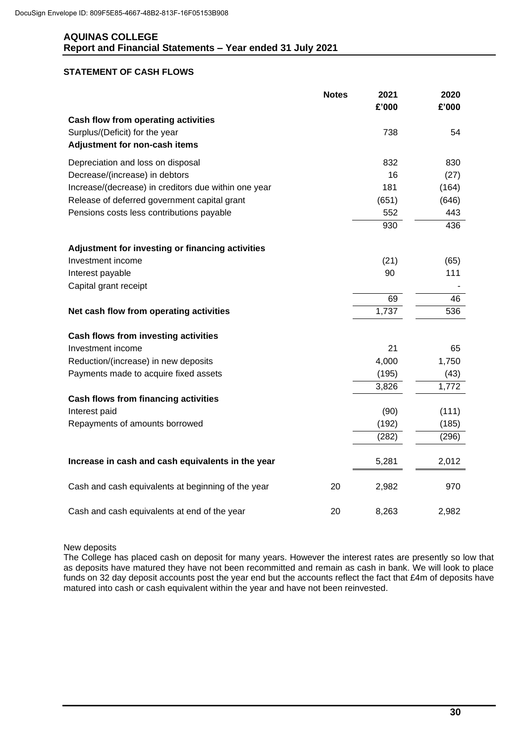# **STATEMENT OF CASH FLOWS**

|                                                      | <b>Notes</b> | 2021  | 2020  |
|------------------------------------------------------|--------------|-------|-------|
|                                                      |              | £'000 | £'000 |
| Cash flow from operating activities                  |              |       |       |
| Surplus/(Deficit) for the year                       |              | 738   | 54    |
| <b>Adjustment for non-cash items</b>                 |              |       |       |
| Depreciation and loss on disposal                    |              | 832   | 830   |
| Decrease/(increase) in debtors                       |              | 16    | (27)  |
| Increase/(decrease) in creditors due within one year |              | 181   | (164) |
| Release of deferred government capital grant         |              | (651) | (646) |
| Pensions costs less contributions payable            |              | 552   | 443   |
|                                                      |              | 930   | 436   |
| Adjustment for investing or financing activities     |              |       |       |
| Investment income                                    |              | (21)  | (65)  |
| Interest payable                                     |              | 90    | 111   |
| Capital grant receipt                                |              |       |       |
|                                                      |              | 69    | 46    |
| Net cash flow from operating activities              |              | 1,737 | 536   |
| Cash flows from investing activities                 |              |       |       |
| Investment income                                    |              | 21    | 65    |
| Reduction/(increase) in new deposits                 |              | 4,000 | 1,750 |
| Payments made to acquire fixed assets                |              | (195) | (43)  |
|                                                      |              | 3,826 | 1,772 |
| <b>Cash flows from financing activities</b>          |              |       |       |
| Interest paid                                        |              | (90)  | (111) |
| Repayments of amounts borrowed                       |              | (192) | (185) |
|                                                      |              | (282) | (296) |
| Increase in cash and cash equivalents in the year    |              | 5,281 | 2,012 |
|                                                      |              |       |       |
| Cash and cash equivalents at beginning of the year   | 20           | 2,982 | 970   |
| Cash and cash equivalents at end of the year         | 20           | 8,263 | 2,982 |

New deposits

 The College has placed cash on deposit for many years. However the interest rates are presently so low that as deposits have matured they have not been recommitted and remain as cash in bank. We will look to place funds on 32 day deposit accounts post the year end but the accounts reflect the fact that £4m of deposits have matured into cash or cash equivalent within the year and have not been reinvested.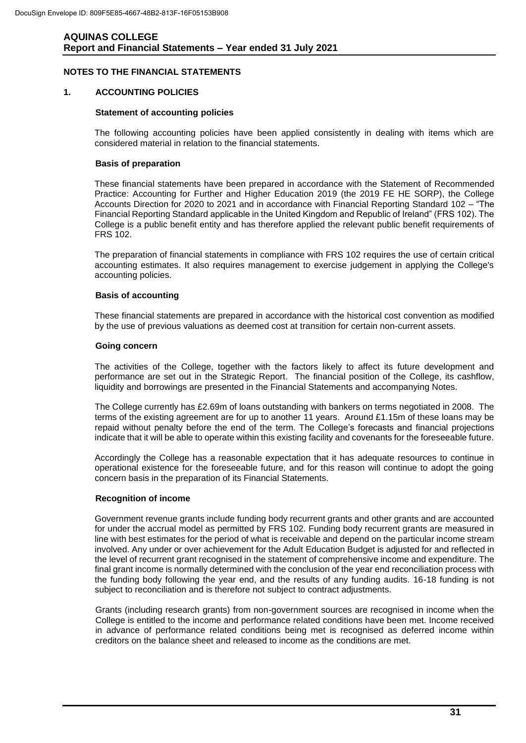## **NOTES TO THE FINANCIAL STATEMENTS**

## **1. ACCOUNTING POLICIES**

#### **Statement of accounting policies**

 The following accounting policies have been applied consistently in dealing with items which are considered material in relation to the financial statements.

#### **Basis of preparation**

 These financial statements have been prepared in accordance with the Statement of Recommended Practice: Accounting for Further and Higher Education 2019 (the 2019 FE HE SORP), the College Financial Reporting Standard applicable in the United Kingdom and Republic of Ireland" (FRS 102). The College is a public benefit entity and has therefore applied the relevant public benefit requirements of Accounts Direction for 2020 to 2021 and in accordance with Financial Reporting Standard 102 – "The FRS 102.

 The preparation of financial statements in compliance with FRS 102 requires the use of certain critical accounting estimates. It also requires management to exercise judgement in applying the College's accounting policies.

#### **Basis of accounting**

 These financial statements are prepared in accordance with the historical cost convention as modified by the use of previous valuations as deemed cost at transition for certain non-current assets.

#### **Going concern**

 The activities of the College, together with the factors likely to affect its future development and performance are set out in the Strategic Report. The financial position of the College, its cashflow, liquidity and borrowings are presented in the Financial Statements and accompanying Notes.

 The College currently has £2.69m of loans outstanding with bankers on terms negotiated in 2008. The repaid without penalty before the end of the term. The College's forecasts and financial projections indicate that it will be able to operate within this existing facility and covenants for the foreseeable future. terms of the existing agreement are for up to another 11 years. Around £1.15m of these loans may be

 Accordingly the College has a reasonable expectation that it has adequate resources to continue in operational existence for the foreseeable future, and for this reason will continue to adopt the going concern basis in the preparation of its Financial Statements.

## **Recognition of income**

 Government revenue grants include funding body recurrent grants and other grants and are accounted for under the accrual model as permitted by FRS 102. Funding body recurrent grants are measured in line with best estimates for the period of what is receivable and depend on the particular income stream involved. Any under or over achievement for the Adult Education Budget is adjusted for and reflected in the level of recurrent grant recognised in the statement of comprehensive income and expenditure. The final grant income is normally determined with the conclusion of the year end reconciliation process with the funding body following the year end, and the results of any funding audits. 16-18 funding is not subject to reconciliation and is therefore not subject to contract adjustments.

 Grants (including research grants) from non-government sources are recognised in income when the College is entitled to the income and performance related conditions have been met. Income received in advance of performance related conditions being met is recognised as deferred income within creditors on the balance sheet and released to income as the conditions are met.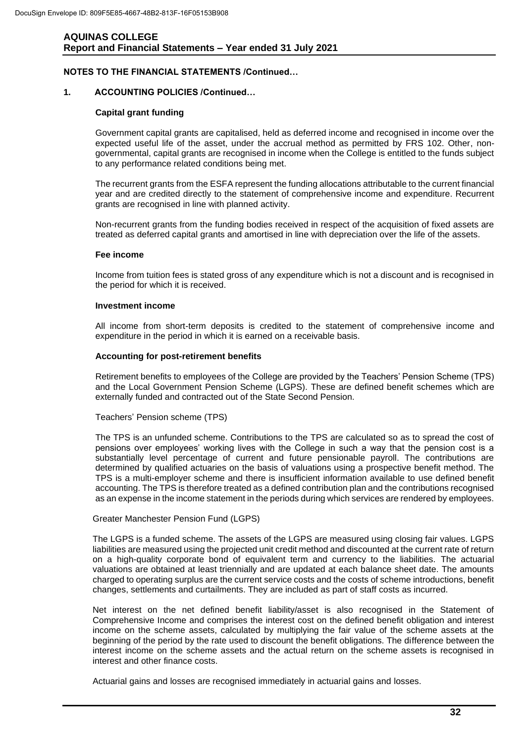# **Report and Financial Statements – Year ended 31 July 2021**

## **NOTES TO THE FINANCIAL STATEMENTS /Continued…**

#### **1. ACCOUNTING POLICIES /Continued…**

#### **Capital grant funding**

 Government capital grants are capitalised, held as deferred income and recognised in income over the expected useful life of the asset, under the accrual method as permitted by FRS 102. Other, non- governmental, capital grants are recognised in income when the College is entitled to the funds subject **AQUINAS COLLEGE**<br> **Report and Financial Statemer**<br> **NOTES TO THE FINANCIAL STAT**<br> **ACCOUNTING POLICIES**<br> **Capital grant funding**<br>
Government capital grants are expected useful life of the<br>
governmental, capital grant<br>
to to any performance related conditions being met.

 The recurrent grants from the ESFA represent the funding allocations attributable to the current financial year and are credited directly to the statement of comprehensive income and expenditure. Recurrent grants are recognised in line with planned activity.

 Non-recurrent grants from the funding bodies received in respect of the acquisition of fixed assets are treated as deferred capital grants and amortised in line with depreciation over the life of the assets.

#### **Fee income**

 Income from tuition fees is stated gross of any expenditure which is not a discount and is recognised in the period for which it is received.

#### **Investment income**

 All income from short-term deposits is credited to the statement of comprehensive income and expenditure in the period in which it is earned on a receivable basis.

#### **Accounting for post-retirement benefits**

 Retirement benefits to employees of the College are provided by the Teachers' Pension Scheme (TPS) and the Local Government Pension Scheme (LGPS). These are defined benefit schemes which are externally funded and contracted out of the State Second Pension.

Teachers' Pension scheme (TPS)

 The TPS is an unfunded scheme. Contributions to the TPS are calculated so as to spread the cost of pensions over employees' working lives with the College in such a way that the pension cost is a substantially level percentage of current and future pensionable payroll. The contributions are determined by qualified actuaries on the basis of valuations using a prospective benefit method. The TPS is a multi-employer scheme and there is insufficient information available to use defined benefit accounting. The TPS is therefore treated as a defined contribution plan and the contributions recognised as an expense in the income statement in the periods during which services are rendered by employees.

#### Greater Manchester Pension Fund (LGPS)

 The LGPS is a funded scheme. The assets of the LGPS are measured using closing fair values. LGPS liabilities are measured using the projected unit credit method and discounted at the current rate of return on a high-quality corporate bond of equivalent term and currency to the liabilities. The actuarial valuations are obtained at least triennially and are updated at each balance sheet date. The amounts charged to operating surplus are the current service costs and the costs of scheme introductions, benefit changes, settlements and curtailments. They are included as part of staff costs as incurred.

 Comprehensive Income and comprises the interest cost on the defined benefit obligation and interest income on the scheme assets, calculated by multiplying the fair value of the scheme assets at the interest income on the scheme assets and the actual return on the scheme assets is recognised in Net interest on the net defined benefit liability/asset is also recognised in the Statement of beginning of the period by the rate used to discount the benefit obligations. The difference between the interest and other finance costs.

Actuarial gains and losses are recognised immediately in actuarial gains and losses.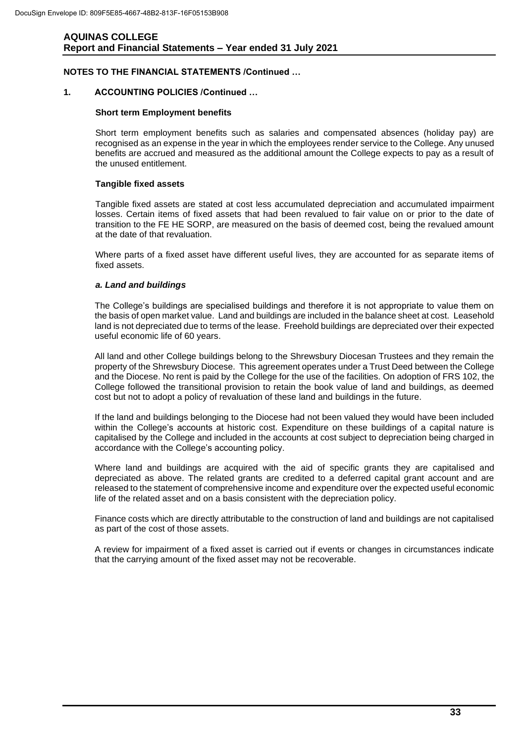## **NOTES TO THE FINANCIAL STATEMENTS /Continued …**

## **1. ACCOUNTING POLICIES /Continued …**

#### **Short term Employment benefits**

 Short term employment benefits such as salaries and compensated absences (holiday pay) are recognised as an expense in the year in which the employees render service to the College. Any unused benefits are accrued and measured as the additional amount the College expects to pay as a result of the unused entitlement.

#### **Tangible fixed assets**

 Tangible fixed assets are stated at cost less accumulated depreciation and accumulated impairment losses. Certain items of fixed assets that had been revalued to fair value on or prior to the date of transition to the FE HE SORP, are measured on the basis of deemed cost, being the revalued amount at the date of that revaluation.

 Where parts of a fixed asset have different useful lives, they are accounted for as separate items of fixed assets.

#### *a. Land and buildings*

 The College's buildings are specialised buildings and therefore it is not appropriate to value them on the basis of open market value. Land and buildings are included in the balance sheet at cost. Leasehold land is not depreciated due to terms of the lease. Freehold buildings are depreciated over their expected useful economic life of 60 years.

 All land and other College buildings belong to the Shrewsbury Diocesan Trustees and they remain the property of the Shrewsbury Diocese. This agreement operates under a Trust Deed between the College and the Diocese. No rent is paid by the College for the use of the facilities. On adoption of FRS 102, the College followed the transitional provision to retain the book value of land and buildings, as deemed buildir<br>en mai<br>preciate<br>inc life<br>ther Co<br>Shrew<br>se. No<br>red the<br>adopt<br>buildir<br>llege's cost but not to adopt a policy of revaluation of these land and buildings in the future.

 within the College's accounts at historic cost. Expenditure on these buildings of a capital nature is capitalised by the College and included in the accounts at cost subject to depreciation being charged in If the land and buildings belonging to the Diocese had not been valued they would have been included accordance with the College's accounting policy.

 Where land and buildings are acquired with the aid of specific grants they are capitalised and depreciated as above. The related grants are credited to a deferred capital grant account and are released to the statement of comprehensive income and expenditure over the expected useful economic life of the related asset and on a basis consistent with the depreciation policy.

 Finance costs which are directly attributable to the construction of land and buildings are not capitalised as part of the cost of those assets.

 A review for impairment of a fixed asset is carried out if events or changes in circumstances indicate that the carrying amount of the fixed asset may not be recoverable.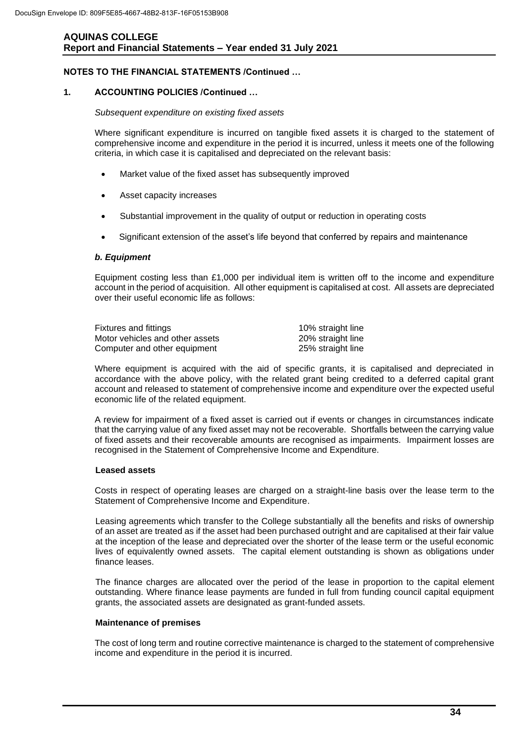## **NOTES TO THE FINANCIAL STATEMENTS /Continued …**

## **1. ACCOUNTING POLICIES /Continued …**

#### *Subsequent expenditure on existing fixed assets*

 Where significant expenditure is incurred on tangible fixed assets it is charged to the statement of comprehensive income and expenditure in the period it is incurred, unless it meets one of the following criteria, in which case it is capitalised and depreciated on the relevant basis:

- Market value of the fixed asset has subsequently improved
- Asset capacity increases
- Substantial improvement in the quality of output or reduction in operating costs
- Significant extension of the asset's life beyond that conferred by repairs and maintenance

#### *b. Equipment*

 Equipment costing less than £1,000 per individual item is written off to the income and expenditure account in the period of acquisition. All other equipment is capitalised at cost. All assets are depreciated over their useful economic life as follows:

| Fixtures and fittings           | 10% straight line |
|---------------------------------|-------------------|
| Motor vehicles and other assets | 20% straight line |
| Computer and other equipment    | 25% straight line |

 Where equipment is acquired with the aid of specific grants, it is capitalised and depreciated in accordance with the above policy, with the related grant being credited to a deferred capital grant account and released to statement of comprehensive income and expenditure over the expected useful economic life of the related equipment.

 A review for impairment of a fixed asset is carried out if events or changes in circumstances indicate that the carrying value of any fixed asset may not be recoverable. Shortfalls between the carrying value of fixed assets and their recoverable amounts are recognised as impairments. Impairment losses are recognised in the Statement of Comprehensive Income and Expenditure.

#### **Leased assets**

 Costs in respect of operating leases are charged on a straight-line basis over the lease term to the Statement of Comprehensive Income and Expenditure.

 Leasing agreements which transfer to the College substantially all the benefits and risks of ownership of an asset are treated as if the asset had been purchased outright and are capitalised at their fair value at the inception of the lease and depreciated over the shorter of the lease term or the useful economic lives of equivalently owned assets. The capital element outstanding is shown as obligations under finance leases.

 The finance charges are allocated over the period of the lease in proportion to the capital element outstanding. Where finance lease payments are funded in full from funding council capital equipment grants, the associated assets are designated as grant-funded assets.

#### **Maintenance of premises**

The cost of long term and routine corrective maintenance is charged to the statement of comprehensive income and expenditure in the period it is incurred.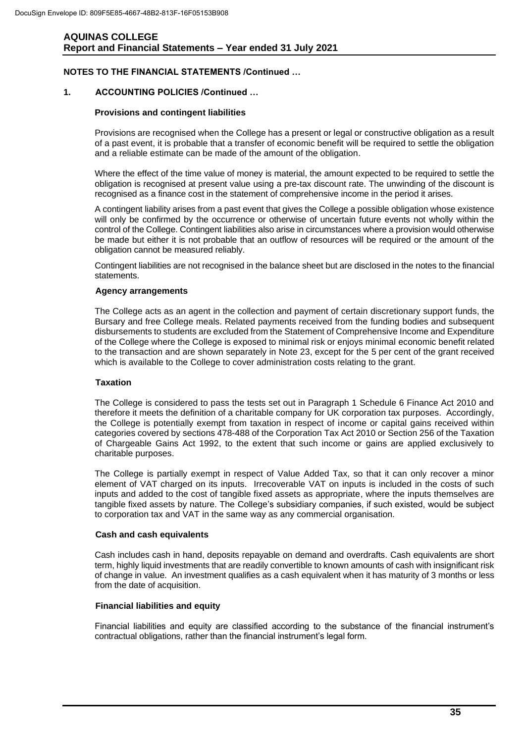# **Report and Financial Statements – Year ended 31 July 2021**

## **NOTES TO THE FINANCIAL STATEMENTS /Continued …**

## **1. ACCOUNTING POLICIES /Continued …**

#### **Provisions and contingent liabilities**

 Provisions are recognised when the College has a present or legal or constructive obligation as a result of a past event, it is probable that a transfer of economic benefit will be required to settle the obligation and a reliable estimate can be made of the amount of the obligation.

 Where the effect of the time value of money is material, the amount expected to be required to settle the obligation is recognised at present value using a pre-tax discount rate. The unwinding of the discount is recognised as a finance cost in the statement of comprehensive income in the period it arises.

 A contingent liability arises from a past event that gives the College a possible obligation whose existence will only be confirmed by the occurrence or otherwise of uncertain future events not wholly within the control of the College. Contingent liabilities also arise in circumstances where a provision would otherwise be made but either it is not probable that an outflow of resources will be required or the amount of the obligation cannot be measured reliably.

 Contingent liabilities are not recognised in the balance sheet but are disclosed in the notes to the financial statements.

#### **Agency arrangements**

 The College acts as an agent in the collection and payment of certain discretionary support funds, the Bursary and free College meals. Related payments received from the funding bodies and subsequent disbursements to students are excluded from the Statement of Comprehensive Income and Expenditure of the College where the College is exposed to minimal risk or enjoys minimal economic benefit related to the transaction and are shown separately in Note 23, except for the 5 per cent of the grant received **AQUINAS COLLEGE**<br> **Report and Financial Statement**<br> **ACCOUNTING POLICIES** *IC***<br>
<b>ACCOUNTING POLICIES** *IC*<br> **Provisions and contingent1**<br> **Provisions are recognised which and a reliable estimate can be where the effect of** which is available to the College to cover administration costs relating to the grant.

### **Taxation**

 The College is considered to pass the tests set out in Paragraph 1 Schedule 6 Finance Act 2010 and the College is potentially exempt from taxation in respect of income or capital gains received within categories covered by sections 478-488 of the Corporation Tax Act 2010 or Section 256 of the Taxation of Chargeable Gains Act 1992, to the extent that such income or gains are applied exclusively to therefore it meets the definition of a charitable company for UK corporation tax purposes. Accordingly, charitable purposes.

 The College is partially exempt in respect of Value Added Tax, so that it can only recover a minor element of VAT charged on its inputs. Irrecoverable VAT on inputs is included in the costs of such inputs and added to the cost of tangible fixed assets as appropriate, where the inputs themselves are tangible fixed assets by nature. The College's subsidiary companies, if such existed, would be subject to corporation tax and VAT in the same way as any commercial organisation.

#### **Cash and cash equivalents**

 Cash includes cash in hand, deposits repayable on demand and overdrafts. Cash equivalents are short term, highly liquid investments that are readily convertible to known amounts of cash with insignificant risk of change in value. An investment qualifies as a cash equivalent when it has maturity of 3 months or less from the date of acquisition.

#### **Financial liabilities and equity**

 Financial liabilities and equity are classified according to the substance of the financial instrument's contractual obligations, rather than the financial instrument's legal form.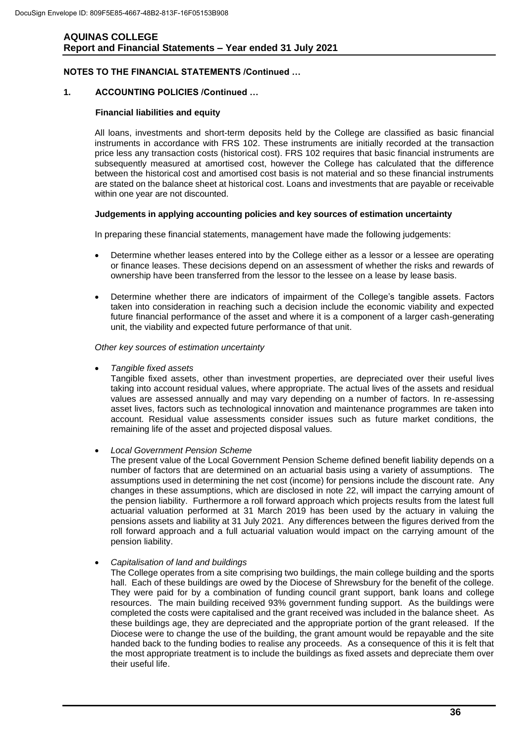## **NOTES TO THE FINANCIAL STATEMENTS /Continued …**

## **1. ACCOUNTING POLICIES /Continued …**

#### **Financial liabilities and equity**

 All loans, investments and short-term deposits held by the College are classified as basic financial instruments in accordance with FRS 102. These instruments are initially recorded at the transaction price less any transaction costs (historical cost). FRS 102 requires that basic financial instruments are subsequently measured at amortised cost, however the College has calculated that the difference between the historical cost and amortised cost basis is not material and so these financial instruments are stated on the balance sheet at historical cost. Loans and investments that are payable or receivable within one year are not discounted.

#### **Judgements in applying accounting policies and key sources of estimation uncertainty**

In preparing these financial statements, management have made the following judgements:

- • Determine whether leases entered into by the College either as a lessor or a lessee are operating or finance leases. These decisions depend on an assessment of whether the risks and rewards of ownership have been transferred from the lessor to the lessee on a lease by lease basis.
- • Determine whether there are indicators of impairment of the College's tangible assets. Factors taken into consideration in reaching such a decision include the economic viability and expected future financial performance of the asset and where it is a component of a larger cash-generating unit, the viability and expected future performance of that unit.

*Other key sources of estimation uncertainty* 

• *Tangible fixed assets* 

 Tangible fixed assets, other than investment properties, are depreciated over their useful lives taking into account residual values, where appropriate. The actual lives of the assets and residual values are assessed annually and may vary depending on a number of factors. In re-assessing asset lives, factors such as technological innovation and maintenance programmes are taken into account. Residual value assessments consider issues such as future market conditions, the remaining life of the asset and projected disposal values.

#### • *Local Government Pension Scheme*

 number of factors that are determined on an actuarial basis using a variety of assumptions. The assumptions used in determining the net cost (income) for pensions include the discount rate. Any changes in these assumptions, which are disclosed in note 22, will impact the carrying amount of the pension liability. Furthermore a roll forward approach which projects results from the latest full actuarial valuation performed at 31 March 2019 has been used by the actuary in valuing the pensions assets and liability at 31 July 2021. Any differences between the figures derived from the roll forward approach and a full actuarial valuation would impact on the carrying amount of the The present value of the Local Government Pension Scheme defined benefit liability depends on a pension liability.

#### • *Capitalisation of land and buildings*

 The College operates from a site comprising two buildings, the main college building and the sports hall. Each of these buildings are owed by the Diocese of Shrewsbury for the benefit of the college. resources. The main building received 93% government funding support. As the buildings were completed the costs were capitalised and the grant received was included in the balance sheet. As these buildings age, they are depreciated and the appropriate portion of the grant released. If the handed back to the funding bodies to realise any proceeds. As a consequence of this it is felt that the most appropriate treatment is to include the buildings as fixed assets and depreciate them over They were paid for by a combination of funding council grant support, bank loans and college Diocese were to change the use of the building, the grant amount would be repayable and the site their useful life.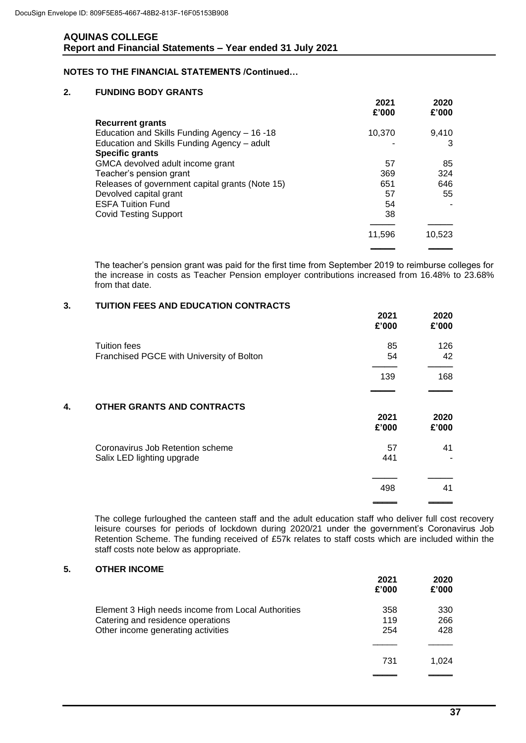## **NOTES TO THE FINANCIAL STATEMENTS /Continued…**

## **2. FUNDING BODY GRANTS**

|                                                 | 2021<br>£'000 | 2020<br>£'000 |
|-------------------------------------------------|---------------|---------------|
| <b>Recurrent grants</b>                         |               |               |
| Education and Skills Funding Agency - 16 -18    | 10,370        | 9,410         |
| Education and Skills Funding Agency - adult     |               | 3             |
| <b>Specific grants</b>                          |               |               |
| GMCA devolved adult income grant                | 57            | 85            |
| Teacher's pension grant                         | 369           | 324           |
| Releases of government capital grants (Note 15) | 651           | 646           |
| Devolved capital grant                          | 57            | 55            |
| <b>ESFA Tuition Fund</b>                        | 54            |               |
| <b>Covid Testing Support</b>                    | 38            |               |
|                                                 |               |               |
|                                                 | 11,596        | 10,523        |
|                                                 |               |               |

## **3. TUITION FEES AND EDUCATION CONTRACTS**

| from that date.            |                                             |               |               |  |  |  |
|----------------------------|---------------------------------------------|---------------|---------------|--|--|--|
|                            | <b>TUITION FEES AND EDUCATION CONTRACTS</b> |               |               |  |  |  |
|                            |                                             | 2021<br>£'000 | 2020<br>£'000 |  |  |  |
| <b>Tuition fees</b>        |                                             | 85            | 126           |  |  |  |
|                            | Franchised PGCE with University of Bolton   | 54            | 42            |  |  |  |
|                            |                                             | 139           | 168           |  |  |  |
|                            | OTHER GRANTS AND CONTRACTS                  |               |               |  |  |  |
|                            |                                             | 2021<br>£'000 | 2020<br>£'000 |  |  |  |
|                            | Coronavirus Job Retention scheme            | 57            | 41            |  |  |  |
| Salix LED lighting upgrade |                                             | 441           |               |  |  |  |
|                            |                                             | 498           | 41            |  |  |  |

 The college furloughed the canteen staff and the adult education staff who deliver full cost recovery leisure courses for periods of lockdown during 2020/21 under the government's Coronavirus Job Retention Scheme. The funding received of £57k relates to staff costs which are included within the staff costs note below as appropriate.

## **5. OTHER INCOME**

|                                                                                         | 2021<br>£'000 | 2020<br>£'000 |
|-----------------------------------------------------------------------------------------|---------------|---------------|
| Element 3 High needs income from Local Authorities<br>Catering and residence operations | 358<br>119    | 330<br>266    |
| Other income generating activities                                                      | 254           | 428           |
|                                                                                         |               |               |
|                                                                                         | 731           | 1.024         |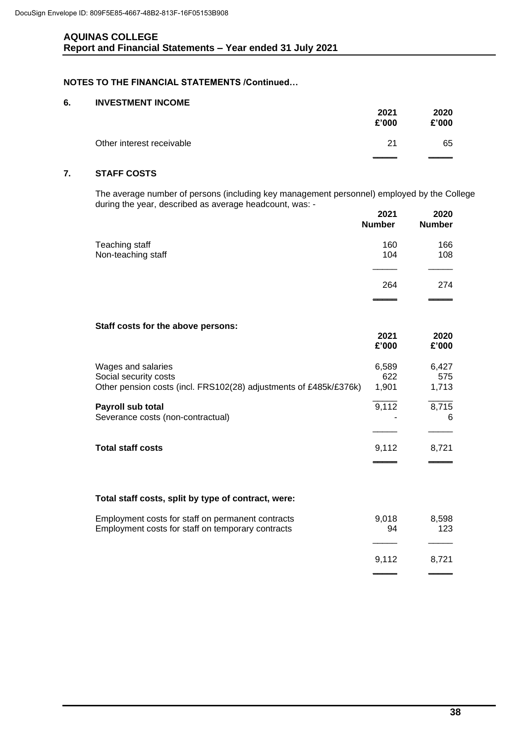# **NOTES TO THE FINANCIAL STATEMENTS /Continued…**

## **6. INVESTMENT INCOME**

|                           | 2021<br>£'000 | 2020<br>£'000 |
|---------------------------|---------------|---------------|
| Other interest receivable | 21            | 65            |
|                           |               |               |

# **7. STAFF COSTS**

The average number of persons (including key management personnel) employed by the College during the year, described as average headcount, was: -

|                                                                                                                  | 2021<br><b>Number</b> | 2020<br><b>Number</b> |
|------------------------------------------------------------------------------------------------------------------|-----------------------|-----------------------|
| Teaching staff<br>Non-teaching staff                                                                             | 160<br>104            | 166<br>108            |
|                                                                                                                  | 264                   | 274                   |
| Staff costs for the above persons:                                                                               | 2021<br>£'000         | 2020<br>£'000         |
| Wages and salaries<br>Social security costs<br>Other pension costs (incl. FRS102(28) adjustments of £485k/£376k) | 6,589<br>622<br>1,901 | 6,427<br>575<br>1,713 |
| Payroll sub total<br>Severance costs (non-contractual)                                                           | 9,112                 | 8,715<br>6            |
| <b>Total staff costs</b>                                                                                         | 9,112                 | 8,721                 |
|                                                                                                                  |                       |                       |

## **Total staff costs, split by type of contract, were:**

| Employment costs for staff on permanent contracts<br>Employment costs for staff on temporary contracts | 9.018<br>94 | 8.598<br>123. |
|--------------------------------------------------------------------------------------------------------|-------------|---------------|
|                                                                                                        |             |               |
|                                                                                                        | 9.112       | 8.721         |

\_\_\_\_\_ \_\_\_\_\_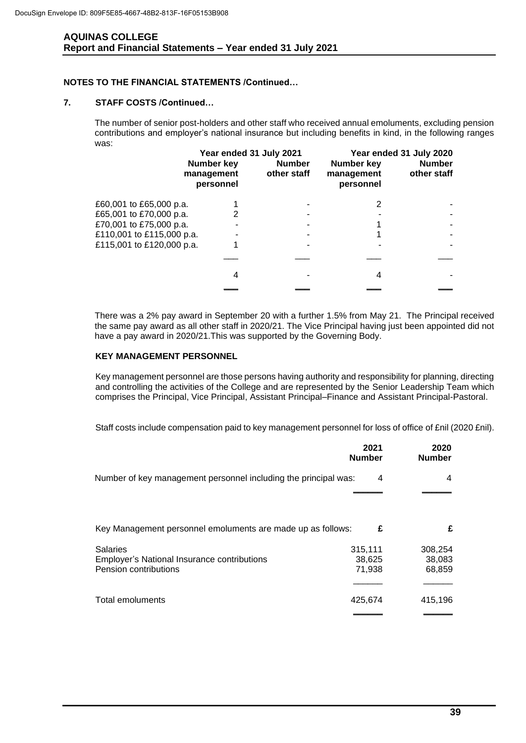## **NOTES TO THE FINANCIAL STATEMENTS /Continued…**

## **7. STAFF COSTS /Continued…**

 The number of senior post-holders and other staff who received annual emoluments, excluding pension contributions and employer's national insurance but including benefits in kind, in the following ranges was:

|                           |                                       | Year ended 31 July 2021      | Year ended 31 July 2020               |                              |
|---------------------------|---------------------------------------|------------------------------|---------------------------------------|------------------------------|
|                           | Number key<br>management<br>personnel | <b>Number</b><br>other staff | Number key<br>management<br>personnel | <b>Number</b><br>other staff |
| £60,001 to £65,000 p.a.   |                                       |                              |                                       |                              |
| £65,001 to £70,000 p.a.   |                                       |                              |                                       |                              |
| £70,001 to £75,000 p.a.   |                                       |                              |                                       |                              |
| £110,001 to £115,000 p.a. |                                       |                              |                                       |                              |
| £115,001 to £120,000 p.a. |                                       |                              |                                       |                              |
|                           |                                       |                              |                                       |                              |
|                           | 4                                     |                              | 4                                     |                              |
|                           |                                       |                              |                                       |                              |

 There was a 2% pay award in September 20 with a further 1.5% from May 21. The Principal received the same pay award as all other staff in 2020/21. The Vice Principal having just been appointed did not have a pay award in 2020/21.This was supported by the Governing Body.

### **KEY MANAGEMENT PERSONNEL**

 Key management personnel are those persons having authority and responsibility for planning, directing and controlling the activities of the College and are represented by the Senior Leadership Team which comprises the Principal, Vice Principal, Assistant Principal–Finance and Assistant Principal-Pastoral.

Staff costs include compensation paid to key management personnel for loss of office of £nil (2020 £nil).

|                                                                 | 2021<br><b>Number</b> | 2020<br><b>Number</b> |
|-----------------------------------------------------------------|-----------------------|-----------------------|
| Number of key management personnel including the principal was: | 4                     | 4                     |
|                                                                 |                       |                       |
| Key Management personnel emoluments are made up as follows:     | £                     | £                     |
| <b>Salaries</b>                                                 | 315,111               | 308,254               |
| <b>Employer's National Insurance contributions</b>              | 38,625                | 38,083                |
| Pension contributions                                           | 71,938                | 68,859                |
|                                                                 |                       |                       |
| Total emoluments                                                | 425,674               | 415,196               |
|                                                                 |                       |                       |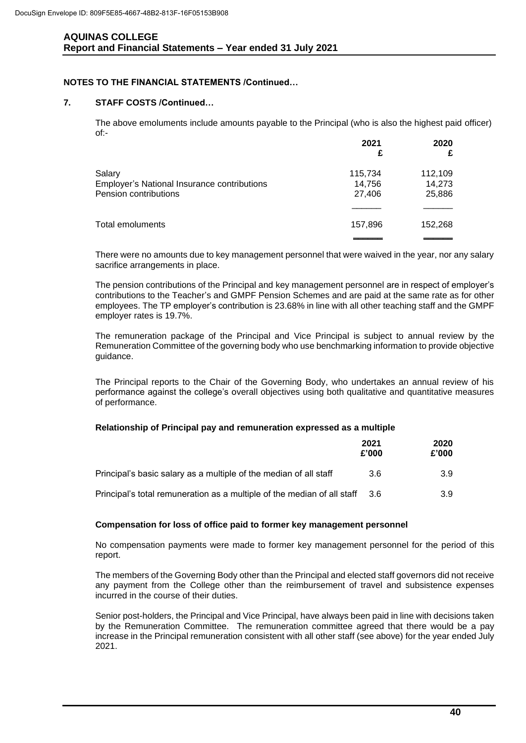## **NOTES TO THE FINANCIAL STATEMENTS /Continued…**

## **7. STAFF COSTS /Continued…**

 The above emoluments include amounts payable to the Principal (who is also the highest paid officer) of:-

|                                                    | 2021    | 2020    |
|----------------------------------------------------|---------|---------|
| Salary                                             | 115,734 | 112,109 |
| <b>Employer's National Insurance contributions</b> | 14,756  | 14,273  |
| Pension contributions                              | 27,406  | 25,886  |
|                                                    |         |         |
| Total emoluments                                   | 157,896 | 152,268 |
|                                                    |         |         |

 There were no amounts due to key management personnel that were waived in the year, nor any salary sacrifice arrangements in place.

 The pension contributions of the Principal and key management personnel are in respect of employer's employees. The TP employer's contribution is 23.68% in line with all other teaching staff and the GMPF contributions to the Teacher's and GMPF Pension Schemes and are paid at the same rate as for other employer rates is 19.7%.

 The remuneration package of the Principal and Vice Principal is subject to annual review by the Remuneration Committee of the governing body who use benchmarking information to provide objective guidance.

 The Principal reports to the Chair of the Governing Body, who undertakes an annual review of his performance against the college's overall objectives using both qualitative and quantitative measures of performance.

## **Relationship of Principal pay and remuneration expressed as a multiple**

| <b>Total emoluments</b>                                                                                                                                                                                                                                                                                                | 157,896       | 152,268       |
|------------------------------------------------------------------------------------------------------------------------------------------------------------------------------------------------------------------------------------------------------------------------------------------------------------------------|---------------|---------------|
|                                                                                                                                                                                                                                                                                                                        |               |               |
| There were no amounts due to key management personnel that were waived in the year, nor a<br>sacrifice arrangements in place.                                                                                                                                                                                          |               |               |
| The pension contributions of the Principal and key management personnel are in respect of e<br>contributions to the Teacher's and GMPF Pension Schemes and are paid at the same rate as<br>employees. The TP employer's contribution is 23.68% in line with all other teaching staff and t<br>employer rates is 19.7%. |               |               |
| The remuneration package of the Principal and Vice Principal is subject to annual revie<br>Remuneration Committee of the governing body who use benchmarking information to provide<br>guidance.                                                                                                                       |               |               |
| The Principal reports to the Chair of the Governing Body, who undertakes an annual revi<br>performance against the college's overall objectives using both qualitative and quantitative i<br>of performance.                                                                                                           |               |               |
| Relationship of Principal pay and remuneration expressed as a multiple                                                                                                                                                                                                                                                 |               |               |
|                                                                                                                                                                                                                                                                                                                        | 2021<br>£'000 | 2020<br>£'000 |
| Principal's basic salary as a multiple of the median of all staff                                                                                                                                                                                                                                                      | 3.6           | 3.9           |
| Principal's total remuneration as a multiple of the median of all staff                                                                                                                                                                                                                                                | 3.6           | 3.9           |

## **Compensation for loss of office paid to former key management personnel**

 No compensation payments were made to former key management personnel for the period of this report.

 The members of the Governing Body other than the Principal and elected staff governors did not receive any payment from the College other than the reimbursement of travel and subsistence expenses incurred in the course of their duties.

 Senior post-holders, the Principal and Vice Principal, have always been paid in line with decisions taken by the Remuneration Committee. The remuneration committee agreed that there would be a pay increase in the Principal remuneration consistent with all other staff (see above) for the year ended July 2021.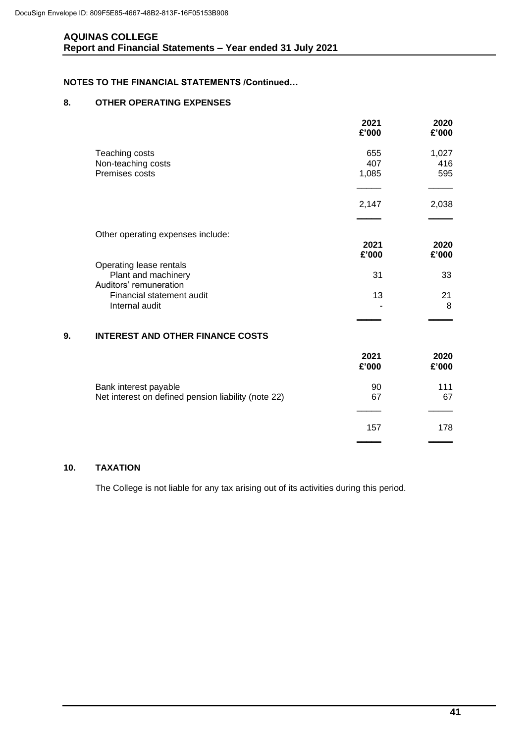# **NOTES TO THE FINANCIAL STATEMENTS /Continued…**

# **8. OTHER OPERATING EXPENSES**

|    |                                         | 2021<br>£'000 | 2020<br>£'000 |
|----|-----------------------------------------|---------------|---------------|
|    | Teaching costs                          | 655           | 1,027         |
|    | Non-teaching costs                      | 407           | 416           |
|    | Premises costs                          | 1,085         | 595           |
|    |                                         |               |               |
|    |                                         | 2,147         | 2,038         |
|    | Other operating expenses include:       |               |               |
|    |                                         | 2021          | 2020          |
|    |                                         | £'000         | £'000         |
|    | Operating lease rentals                 |               |               |
|    | Plant and machinery                     | 31            | 33            |
|    | Auditors' remuneration                  |               |               |
|    | Financial statement audit               | 13            | 21            |
|    | Internal audit                          |               | 8             |
|    |                                         |               |               |
| 9. | <b>INTEREST AND OTHER FINANCE COSTS</b> |               |               |

# **2021 2020 £'000 £'000** Bank interest payable **111** and the set of the set of the set of the set of the set of the set of the set of the set of the set of the set of the set of the set of the set of the set of the set of the set of the set of the Net interest on defined pension liability (note 22) 67 67 \_\_\_\_\_ \_\_\_\_\_ 157 178 \_\_\_\_\_ \_\_\_\_\_

## **10. TAXATION**

The College is not liable for any tax arising out of its activities during this period.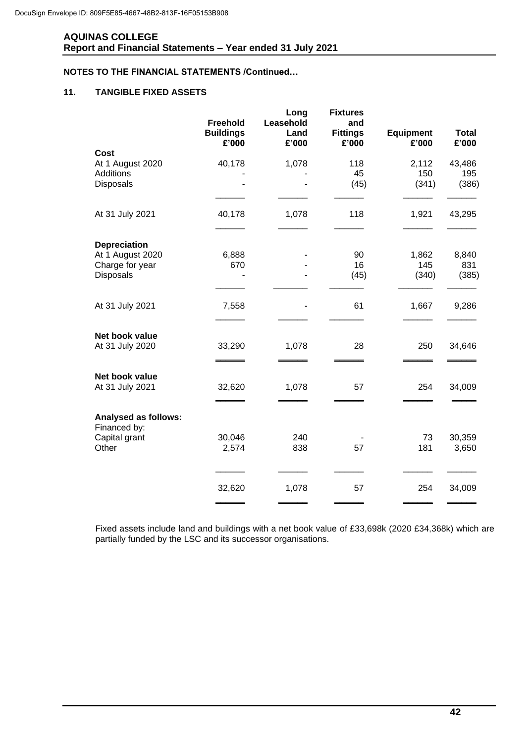## **NOTES TO THE FINANCIAL STATEMENTS /Continued…**

# **11. TANGIBLE FIXED ASSETS**

|                                      | Freehold<br><b>Buildings</b><br>£'000 | Long<br>Leasehold<br>Land<br>£'000 | <b>Fixtures</b><br>and<br><b>Fittings</b><br>£'000 | <b>Equipment</b><br>£'000 | <b>Total</b><br>£'000 |
|--------------------------------------|---------------------------------------|------------------------------------|----------------------------------------------------|---------------------------|-----------------------|
| Cost                                 |                                       |                                    |                                                    |                           |                       |
| At 1 August 2020<br><b>Additions</b> | 40,178                                | 1,078                              | 118<br>45                                          | 2,112<br>150              | 43,486<br>195         |
| <b>Disposals</b>                     |                                       |                                    | (45)                                               | (341)                     | (386)                 |
| At 31 July 2021                      | 40,178                                | 1,078                              | 118                                                | 1,921                     | 43,295                |
| Depreciation                         |                                       |                                    |                                                    |                           |                       |
| At 1 August 2020                     | 6,888                                 |                                    | 90                                                 | 1,862                     | 8,840                 |
| Charge for year                      | 670                                   |                                    | 16                                                 | 145                       | 831                   |
| Disposals                            |                                       |                                    | (45)                                               | (340)                     | (385)                 |
| At 31 July 2021                      | 7,558                                 |                                    | 61                                                 | 1,667                     | 9,286                 |
| Net book value                       |                                       |                                    |                                                    |                           |                       |
| At 31 July 2020                      | 33,290                                | 1,078                              | 28                                                 | 250                       | 34,646                |
| Net book value                       |                                       |                                    |                                                    |                           |                       |
| At 31 July 2021                      | 32,620                                | 1,078                              | 57                                                 | 254                       | 34,009                |
|                                      |                                       |                                    |                                                    |                           |                       |
| Analysed as follows:<br>Financed by: |                                       |                                    |                                                    |                           |                       |
| Capital grant                        | 30,046                                | 240                                |                                                    | 73                        | 30,359                |
| Other                                | 2,574                                 | 838                                | 57                                                 | 181                       | 3,650                 |
|                                      |                                       |                                    |                                                    |                           |                       |
|                                      | 32,620                                | 1,078                              | 57                                                 | 254                       | 34,009                |
|                                      |                                       |                                    |                                                    |                           |                       |

 Fixed assets include land and buildings with a net book value of £33,698k (2020 £34,368k) which are partially funded by the LSC and its successor organisations.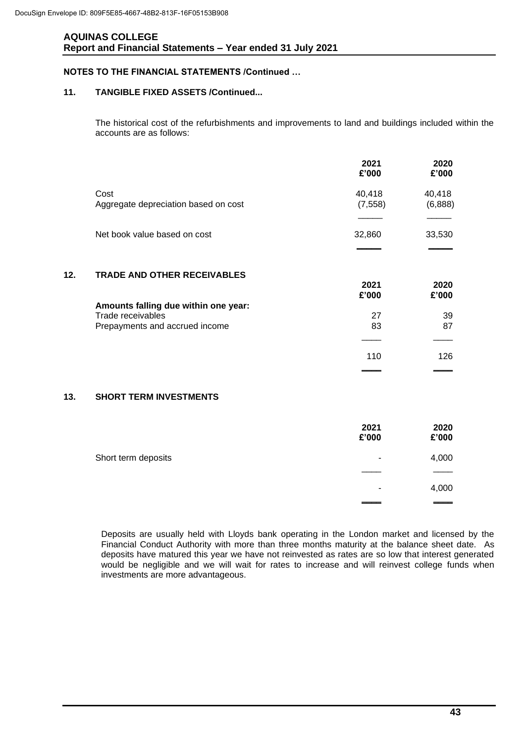## **NOTES TO THE FINANCIAL STATEMENTS /Continued …**

## **11. TANGIBLE FIXED ASSETS /Continued...**

 The historical cost of the refurbishments and improvements to land and buildings included within the accounts are as follows:

|     |                                                           | 2021<br>£'000      | 2020<br>£'000     |
|-----|-----------------------------------------------------------|--------------------|-------------------|
|     | Cost<br>Aggregate depreciation based on cost              | 40,418<br>(7, 558) | 40,418<br>(6,888) |
|     | Net book value based on cost                              | 32,860             | 33,530            |
| 12. | <b>TRADE AND OTHER RECEIVABLES</b>                        |                    |                   |
|     |                                                           | 2021<br>£'000      | 2020<br>£'000     |
|     | Amounts falling due within one year:<br>Trade receivables | 27                 | 39                |
|     | Prepayments and accrued income                            | 83                 | 87                |
|     |                                                           |                    |                   |
|     |                                                           | 110                | 126               |
|     |                                                           |                    |                   |
| 13. | <b>SHORT TERM INVESTMENTS</b>                             |                    |                   |
|     |                                                           | 2021               | 2020              |

|                     | -----<br>£'000 | .<br>£'000 |
|---------------------|----------------|------------|
| Short term deposits | ۰              | 4,000      |
|                     |                |            |
|                     | ٠              | 4,000      |
|                     |                |            |

 Deposits are usually held with Lloyds bank operating in the London market and licensed by the Financial Conduct Authority with more than three months maturity at the balance sheet date. As deposits have matured this year we have not reinvested as rates are so low that interest generated would be negligible and we will wait for rates to increase and will reinvest college funds when investments are more advantageous.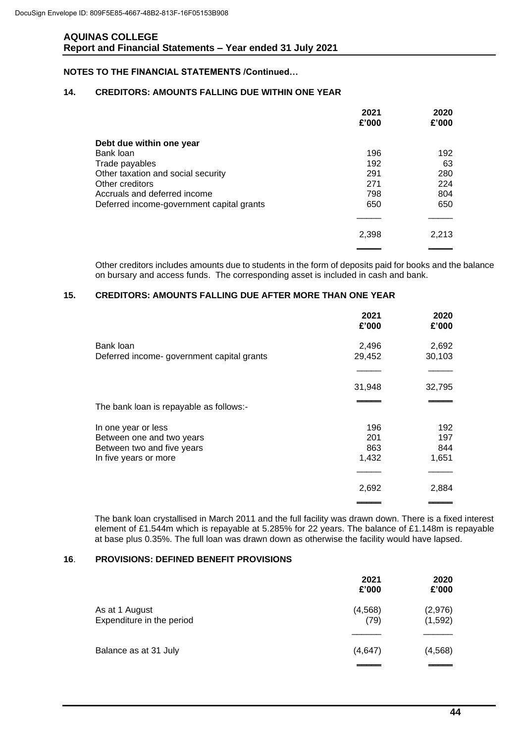## **NOTES TO THE FINANCIAL STATEMENTS /Continued…**

## **14. CREDITORS: AMOUNTS FALLING DUE WITHIN ONE YEAR**

|                                           | 2021<br>£'000 | 2020<br>£'000 |
|-------------------------------------------|---------------|---------------|
|                                           |               |               |
| Debt due within one year                  |               |               |
| Bank loan                                 | 196           | 192           |
| Trade payables                            | 192           | 63            |
| Other taxation and social security        | 291           | 280           |
| Other creditors                           | 271           | 224           |
| Accruals and deferred income              | 798           | 804           |
| Deferred income-government capital grants | 650           | 650           |
|                                           |               |               |
|                                           | 2,398         | 2.213         |
|                                           |               |               |

 Other creditors includes amounts due to students in the form of deposits paid for books and the balance on bursary and access funds. The corresponding asset is included in cash and bank.

## **15. CREDITORS: AMOUNTS FALLING DUE AFTER MORE THAN ONE YEAR**

|                                            | 2021<br>£'000 | 2020<br>£'000 |
|--------------------------------------------|---------------|---------------|
| Bank loan                                  | 2,496         | 2,692         |
| Deferred income- government capital grants | 29,452        | 30,103        |
|                                            |               |               |
|                                            | 31,948        | 32,795        |
| The bank loan is repayable as follows:-    |               |               |
| In one year or less                        | 196           | 192           |
| Between one and two years                  | 201           | 197           |
| Between two and five years                 | 863           | 844           |
| In five years or more                      | 1,432         | 1,651         |
|                                            |               |               |
|                                            | 2,692         | 2,884         |
|                                            |               |               |

 The bank loan crystallised in March 2011 and the full facility was drawn down. There is a fixed interest element of £1.544m which is repayable at 5.285% for 22 years. The balance of £1.148m is repayable at base plus 0.35%. The full loan was drawn down as otherwise the facility would have lapsed.

## **16**. **PROVISIONS: DEFINED BENEFIT PROVISIONS**

|                                             | 2021<br>£'000    | 2020<br>£'000      |
|---------------------------------------------|------------------|--------------------|
| As at 1 August<br>Expenditure in the period | (4, 568)<br>(79) | (2,976)<br>(1,592) |
| Balance as at 31 July                       | (4,647)          | (4, 568)           |
|                                             |                  |                    |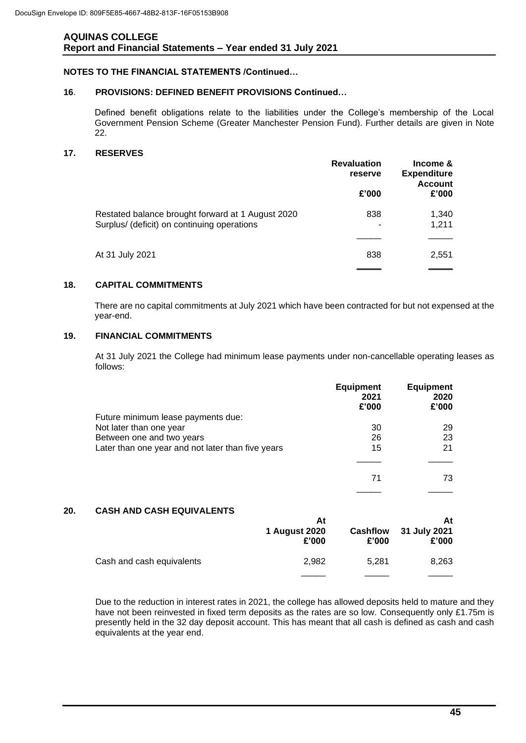## **NOTES TO THE FINANCIAL STATEMENTS /Continued…**

#### **16**. **PROVISIONS: DEFINED BENEFIT PROVISIONS Continued…**

 Defined benefit obligations relate to the liabilities under the College's membership of the Local Government Pension Scheme (Greater Manchester Pension Fund). Further details are given in Note 22.

# **17. RESERVES**

|                                                                                                  | <b>Revaluation</b><br>reserve<br>£'000 | Income &<br><b>Expenditure</b><br><b>Account</b><br>£'000 |
|--------------------------------------------------------------------------------------------------|----------------------------------------|-----------------------------------------------------------|
|                                                                                                  |                                        |                                                           |
| Restated balance brought forward at 1 August 2020<br>Surplus/ (deficit) on continuing operations | 838<br>-                               | 1,340<br>1,211                                            |
|                                                                                                  |                                        |                                                           |
| At 31 July 2021                                                                                  | 838                                    | 2,551                                                     |
|                                                                                                  |                                        |                                                           |

## **18. CAPITAL COMMITMENTS**

 There are no capital commitments at July 2021 which have been contracted for but not expensed at the year-end.

## **19. FINANCIAL COMMITMENTS**

 At 31 July 2021 the College had minimum lease payments under non-cancellable operating leases as follows:

|     |                                                   |                                     | <b>Equipment</b><br>2021<br>£'000 | <b>Equipment</b><br>2020<br>£'000 |
|-----|---------------------------------------------------|-------------------------------------|-----------------------------------|-----------------------------------|
|     | Future minimum lease payments due:                |                                     |                                   |                                   |
|     | Not later than one year                           |                                     | 30                                | 29                                |
|     | Between one and two years                         |                                     | 26                                | 23                                |
|     | Later than one year and not later than five years |                                     | 15                                | 21                                |
|     |                                                   |                                     |                                   |                                   |
|     |                                                   |                                     | 71                                | 73                                |
|     |                                                   |                                     |                                   |                                   |
| 20. | <b>CASH AND CASH EQUIVALENTS</b>                  |                                     |                                   |                                   |
|     |                                                   | At<br><b>1 August 2020</b><br>£'000 | <b>Cashflow</b><br>£'000          | At<br>31 July 2021<br>£'000       |
|     | Cash and cash equivalents                         | 2,982                               | 5,281                             | 8,263                             |
|     |                                                   |                                     |                                   |                                   |

 Due to the reduction in interest rates in 2021, the college has allowed deposits held to mature and they have not been reinvested in fixed term deposits as the rates are so low. Consequently only £1.75m is presently held in the 32 day deposit account. This has meant that all cash is defined as cash and cash equivalents at the year end.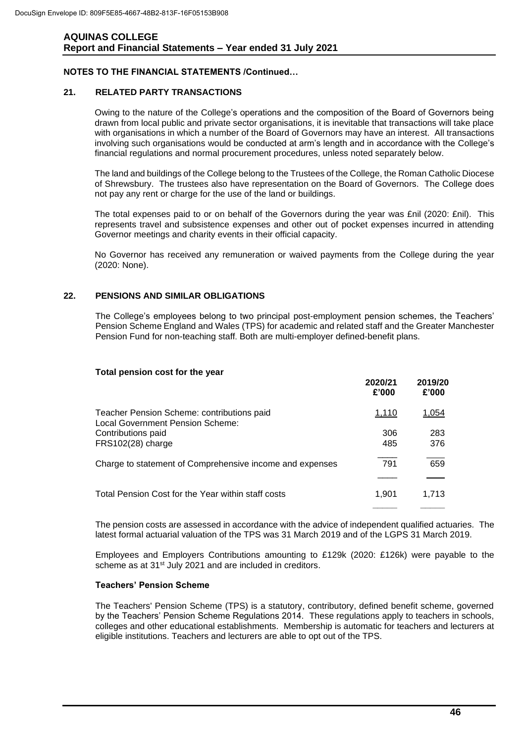## **NOTES TO THE FINANCIAL STATEMENTS /Continued…**

## **21. RELATED PARTY TRANSACTIONS**

 Owing to the nature of the College's operations and the composition of the Board of Governors being drawn from local public and private sector organisations, it is inevitable that transactions will take place with organisations in which a number of the Board of Governors may have an interest. All transactions involving such organisations would be conducted at arm's length and in accordance with the College's financial regulations and normal procurement procedures, unless noted separately below.

 The land and buildings of the College belong to the Trustees of the College, the Roman Catholic Diocese of Shrewsbury. The trustees also have representation on the Board of Governors. The College does not pay any rent or charge for the use of the land or buildings.

 The total expenses paid to or on behalf of the Governors during the year was £nil (2020: £nil). This represents travel and subsistence expenses and other out of pocket expenses incurred in attending Governor meetings and charity events in their official capacity.

 No Governor has received any remuneration or waived payments from the College during the year (2020: None).

## **22. PENSIONS AND SIMILAR OBLIGATIONS**

 The College's employees belong to two principal post-employment pension schemes, the Teachers' Pension Scheme England and Wales (TPS) for academic and related staff and the Greater Manchester Pension Fund for non-teaching staff. Both are multi-employer defined-benefit plans.

#### **Total pension cost for the year**

| The College's employees belong to two principal post-employment pension schemes, the<br>Pension Scheme England and Wales (TPS) for academic and related staff and the Greater I<br>Pension Fund for non-teaching staff. Both are multi-employer defined-benefit plans. |                     |                     |
|------------------------------------------------------------------------------------------------------------------------------------------------------------------------------------------------------------------------------------------------------------------------|---------------------|---------------------|
| Total pension cost for the year                                                                                                                                                                                                                                        | 2020/21<br>£'000    | 2019/20<br>£'000    |
| Teacher Pension Scheme: contributions paid<br><b>Local Government Pension Scheme:</b><br>Contributions paid<br>FRS102(28) charge                                                                                                                                       | 1,110<br>306<br>485 | 1,054<br>283<br>376 |
| Charge to statement of Comprehensive income and expenses                                                                                                                                                                                                               | 791                 | 659                 |
| Total Pension Cost for the Year within staff costs                                                                                                                                                                                                                     | 1,901               | 1,713               |
| The pension costs are assessed in accordance with the advice of independent qualified actu<br>latest formal actuarial valuation of the TPS was 31 March 2019 and of the LGPS 31 March                                                                                  |                     |                     |
| Employees and Employers Contributions amounting to £129k (2020: £126k) were paya<br>scheme as at 31 <sup>st</sup> July 2021 and are included in creditors.                                                                                                             |                     |                     |
| <b>Teachers' Pension Scheme</b>                                                                                                                                                                                                                                        |                     |                     |
| The Teachers' Pension Scheme (TPS) is a statutory, contributory, defined benefit scheme<br>by the Teachers' Pension Scheme Regulations 2014. These regulations apply to teachers                                                                                       |                     |                     |

 The pension costs are assessed in accordance with the advice of independent qualified actuaries. The latest formal actuarial valuation of the TPS was 31 March 2019 and of the LGPS 31 March 2019.

 Employees and Employers Contributions amounting to £129k (2020: £126k) were payable to the scheme as at 31<sup>st</sup> July 2021 and are included in creditors.

### **Teachers' Pension Scheme**

 The Teachers' Pension Scheme (TPS) is a statutory, contributory, defined benefit scheme, governed by the Teachers' Pension Scheme Regulations 2014. These regulations apply to teachers in schools, colleges and other educational establishments. Membership is automatic for teachers and lecturers at eligible institutions. Teachers and lecturers are able to opt out of the TPS.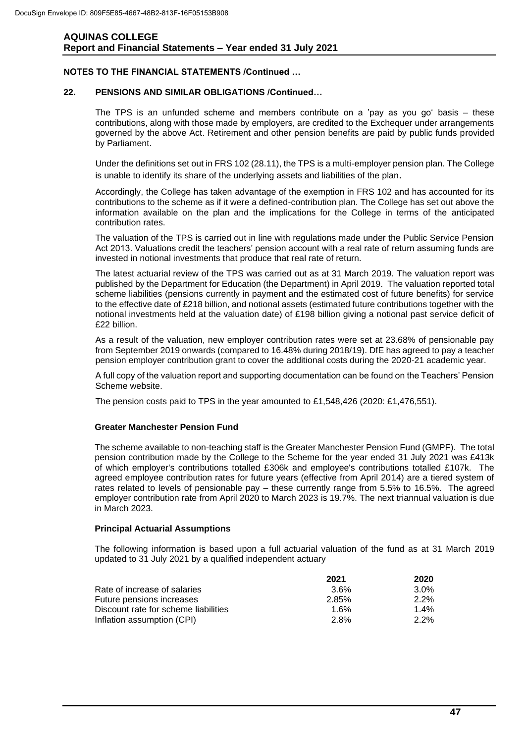# **Report and Financial Statements – Year ended 31 July 2021**

## **NOTES TO THE FINANCIAL STATEMENTS /Continued …**

## **22. PENSIONS AND SIMILAR OBLIGATIONS /Continued…**

 The TPS is an unfunded scheme and members contribute on a 'pay as you go' basis – these contributions, along with those made by employers, are credited to the Exchequer under arrangements governed by the above Act. Retirement and other pension benefits are paid by public funds provided by Parliament.

 Under the definitions set out in FRS 102 (28.11), the TPS is a multi-employer pension plan. The College is unable to identify its share of the underlying assets and liabilities of the plan.

 Accordingly, the College has taken advantage of the exemption in FRS 102 and has accounted for its contributions to the scheme as if it were a defined-contribution plan. The College has set out above the information available on the plan and the implications for the College in terms of the anticipated contribution rates.

 The valuation of the TPS is carried out in line with regulations made under the Public Service Pension Act 2013. Valuations credit the teachers' pension account with a real rate of return assuming funds are invested in notional investments that produce that real rate of return.

 The latest actuarial review of the TPS was carried out as at 31 March 2019. The valuation report was published by the Department for Education (the Department) in April 2019. The valuation reported total scheme liabilities (pensions currently in payment and the estimated cost of future benefits) for service to the effective date of £218 billion, and notional assets (estimated future contributions together with the notional investments held at the valuation date) of £198 billion giving a notional past service deficit of **AQUINAS COLLEGE**<br>**Report and Financial Statements – Year ended 31 July 2021**<br>**Report and Financial Statements – Year ended 31 July 2021**<br>**ADTES TO THE FINANCIAL STATEMENTS /Continued...**<br>**The TPS is an unfunded scheme and** £22 billion.

 As a result of the valuation, new employer contribution rates were set at 23.68% of pensionable pay from September 2019 onwards (compared to 16.48% during 2018/19). DfE has agreed to pay a teacher pension employer contribution grant to cover the additional costs during the 2020-21 academic year.

 A full copy of the valuation report and supporting documentation can be found on the Teachers' Pension Scheme website.

The pension costs paid to TPS in the year amounted to £1,548,426 (2020: £1,476,551).

## **Greater Manchester Pension Fund**

 The scheme available to non-teaching staff is the Greater Manchester Pension Fund (GMPF). The total pension contribution made by the College to the Scheme for the year ended 31 July 2021 was £413k of which employer's contributions totalled £306k and employee's contributions totalled £107k. The agreed employee contribution rates for future years (effective from April 2014) are a tiered system of rates related to levels of pensionable pay – these currently range from 5.5% to 16.5%. The agreed employer contribution rate from April 2020 to March 2023 is 19.7%. The next triannual valuation is due in March 2023.

#### **Principal Actuarial Assumptions**

 The following information is based upon a full actuarial valuation of the fund as at 31 March 2019 updated to 31 July 2021 by a qualified independent actuary

|                                      | 2021  | 2020    |
|--------------------------------------|-------|---------|
| Rate of increase of salaries         | 3.6%  | 3.0%    |
| Future pensions increases            | 2.85% | $2.2\%$ |
| Discount rate for scheme liabilities | 1 6%  | 1.4%    |
| Inflation assumption (CPI)           | 2.8%  | $2.2\%$ |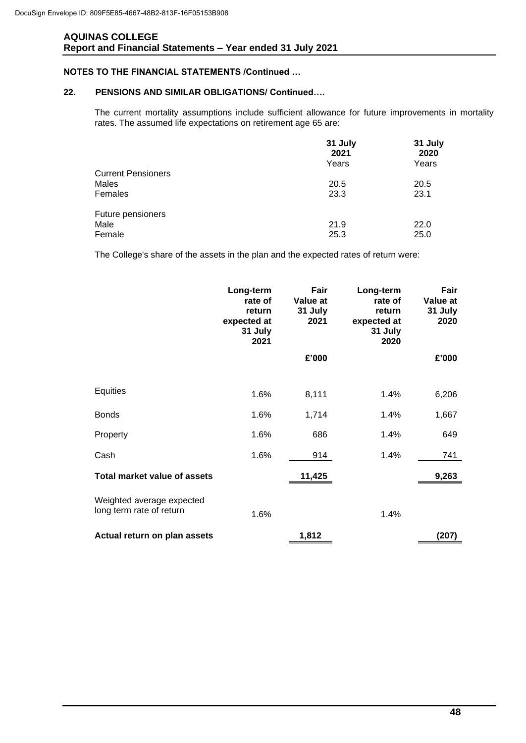## **NOTES TO THE FINANCIAL STATEMENTS /Continued …**

## **22. PENSIONS AND SIMILAR OBLIGATIONS/ Continued….**

 The current mortality assumptions include sufficient allowance for future improvements in mortality rates. The assumed life expectations on retirement age 65 are:

|                           | 31 July<br>2021 | 31 July<br>2020 |
|---------------------------|-----------------|-----------------|
|                           | Years           | Years           |
| <b>Current Pensioners</b> |                 |                 |
| Males                     | 20.5            | 20.5            |
| Females                   | 23.3            | 23.1            |
| Future pensioners         |                 |                 |
| Male                      | 21.9            | 22.0            |
| Female                    | 25.3            | 25.0            |

The College's share of the assets in the plan and the expected rates of return were:

|                                                       | Long-term<br>rate of<br>return<br>expected at<br>31 July<br>2021 | Fair<br>Value at<br>31 July<br>2021 | Long-term<br>rate of<br>return<br>expected at<br>31 July<br>2020 | Fair<br>Value at<br>31 July<br>2020 |
|-------------------------------------------------------|------------------------------------------------------------------|-------------------------------------|------------------------------------------------------------------|-------------------------------------|
|                                                       |                                                                  | £'000                               |                                                                  | £'000                               |
| Equities                                              | 1.6%                                                             | 8,111                               | 1.4%                                                             | 6,206                               |
| <b>Bonds</b>                                          | 1.6%                                                             | 1,714                               | 1.4%                                                             | 1,667                               |
| Property                                              | 1.6%                                                             | 686                                 | 1.4%                                                             | 649                                 |
| Cash                                                  | 1.6%                                                             | 914                                 | 1.4%                                                             | 741                                 |
| <b>Total market value of assets</b>                   |                                                                  | 11,425                              |                                                                  | 9,263                               |
| Weighted average expected<br>long term rate of return | 1.6%                                                             |                                     | 1.4%                                                             |                                     |
| Actual return on plan assets                          |                                                                  | 1,812                               |                                                                  | (207)                               |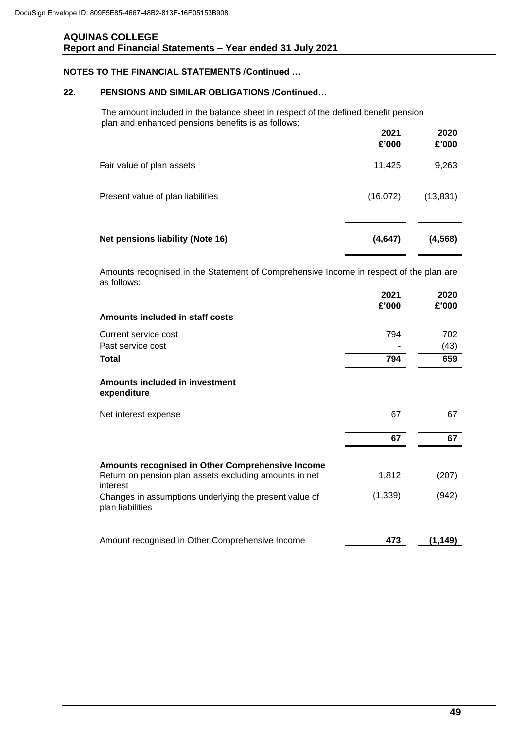## **NOTES TO THE FINANCIAL STATEMENTS /Continued …**

## **22. PENSIONS AND SIMILAR OBLIGATIONS /Continued…**

The amount included in the balance sheet in respect of the defined benefit pension plan and enhanced pensions benefits is as follows:

|                                   | 2021<br>£'000 | 2020<br>£'000 |
|-----------------------------------|---------------|---------------|
| Fair value of plan assets         | 11,425        | 9,263         |
| Present value of plan liabilities | (16,072)      | (13, 831)     |
| Net pensions liability (Note 16)  | (4, 647)      | (4, 568)      |

Amounts recognised in the Statement of Comprehensive Income in respect of the plan are as follows:

|                                                                            | 2021<br>£'000 | 2020<br>£'000 |
|----------------------------------------------------------------------------|---------------|---------------|
| Amounts included in staff costs                                            |               |               |
| Current service cost                                                       | 794           | 702           |
| Past service cost                                                          |               | (43)          |
| Total                                                                      | 794           | 659           |
| Amounts included in investment<br>expenditure                              |               |               |
| Net interest expense                                                       | 67            | 67            |
|                                                                            | 67            | 67            |
| Amounts recognised in Other Comprehensive Income                           |               |               |
| Return on pension plan assets excluding amounts in net<br>interest         | 1,812         | (207)         |
| Changes in assumptions underlying the present value of<br>plan liabilities | (1, 339)      | (942)         |
| Amount recognised in Other Comprehensive Income                            | 473           | (1,149)       |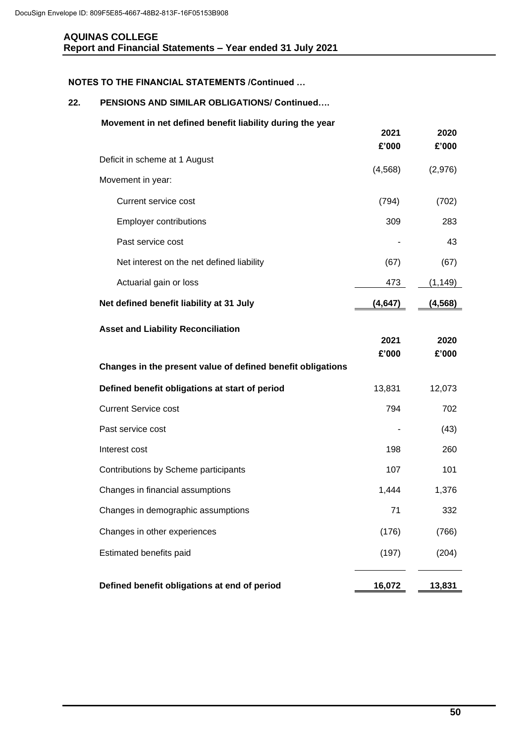## **NOTES TO THE FINANCIAL STATEMENTS /Continued …**

## **22. PENSIONS AND SIMILAR OBLIGATIONS/ Continued….**

## **Movement in net defined benefit liability during the year**

|                                                             | 2021<br>£'000 | 2020<br>£'000 |
|-------------------------------------------------------------|---------------|---------------|
| Deficit in scheme at 1 August                               |               |               |
| Movement in year:                                           | (4, 568)      | (2,976)       |
| Current service cost                                        | (794)         | (702)         |
| <b>Employer contributions</b>                               | 309           | 283           |
| Past service cost                                           |               | 43            |
| Net interest on the net defined liability                   | (67)          | (67)          |
| Actuarial gain or loss                                      | 473           | (1, 149)      |
| Net defined benefit liability at 31 July                    | (4, 647)      | (4, 568)      |
| <b>Asset and Liability Reconciliation</b>                   |               |               |
|                                                             | 2021          | 2020          |
| Changes in the present value of defined benefit obligations | £'000         | £'000         |
| Defined benefit obligations at start of period              | 13,831        | 12,073        |
| <b>Current Service cost</b>                                 | 794           | 702           |
| Past service cost                                           |               | (43)          |
| Interest cost                                               | 198           | 260           |
| Contributions by Scheme participants                        | 107           | 101           |
| Changes in financial assumptions                            | 1,444         | 1,376         |
| Changes in demographic assumptions                          | 71            | 332           |
| Changes in other experiences                                | (176)         | (766)         |
| Estimated benefits paid                                     | (197)         | (204)         |
| Defined benefit obligations at end of period                | 16,072        | 13,831        |